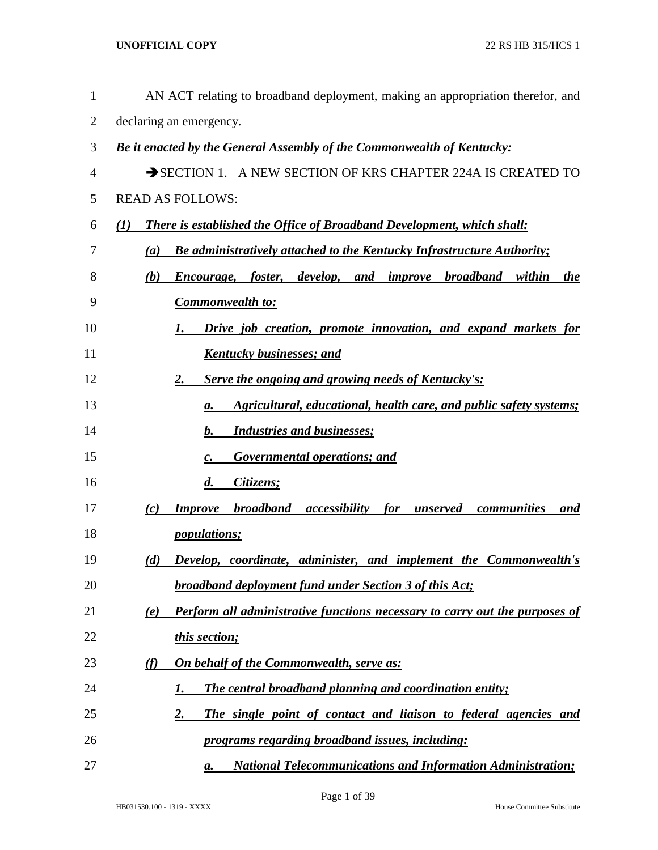| $\mathbf{1}$   | AN ACT relating to broadband deployment, making an appropriation therefor, and                                |
|----------------|---------------------------------------------------------------------------------------------------------------|
| $\overline{2}$ | declaring an emergency.                                                                                       |
| 3              | Be it enacted by the General Assembly of the Commonwealth of Kentucky:                                        |
| 4              | SECTION 1. A NEW SECTION OF KRS CHAPTER 224A IS CREATED TO                                                    |
| 5              | <b>READ AS FOLLOWS:</b>                                                                                       |
| 6              | There is established the Office of Broadband Development, which shall:<br>$\mathcal{L}(I)$                    |
| 7              | <b>Be administratively attached to the Kentucky Infrastructure Authority;</b><br>(a)                          |
| 8              | <b>broadband</b><br>(b)<br><i>foster</i> , <i>develop</i> , <i>and improve</i><br>within<br>Encourage,<br>the |
| 9              | <b>Commonwealth to:</b>                                                                                       |
| 10             | Drive job creation, promote innovation, and expand markets for<br>1.                                          |
| 11             | <b>Kentucky businesses; and</b>                                                                               |
| 12             | <b>Serve the ongoing and growing needs of Kentucky's:</b><br>2.                                               |
| 13             | Agricultural, educational, health care, and public safety systems;<br>а.                                      |
| 14             | <b>Industries and businesses;</b><br>b.                                                                       |
| 15             | <b>Governmental operations; and</b><br>$\boldsymbol{c}$ .                                                     |
| 16             | $\boldsymbol{d}$ .<br>Citizens;                                                                               |
| 17             | <b>broadband</b><br><i>accessibility</i><br><b>Improve</b><br>for<br>communities<br>(c)<br>unserved<br>and    |
| 18             | <i>populations;</i>                                                                                           |
| 19             | Develop, coordinate, administer, and implement the Commonwealth's<br>(d)                                      |
| 20             | <b>broadband deployment fund under Section 3 of this Act;</b>                                                 |
| 21             | <b>Perform all administrative functions necessary to carry out the purposes of</b><br>(e)                     |
| 22             | this section;                                                                                                 |
| 23             | On behalf of the Commonwealth, serve as:<br><u>(f)</u>                                                        |
| 24             | <b>The central broadband planning and coordination entity;</b><br>1.                                          |
| 25             | $\overline{2}$ .<br>The single point of contact and liaison to federal agencies and                           |
| 26             | programs regarding broadband issues, including:                                                               |
| 27             | <b>National Telecommunications and Information Administration;</b><br>a.                                      |

Page 1 of 39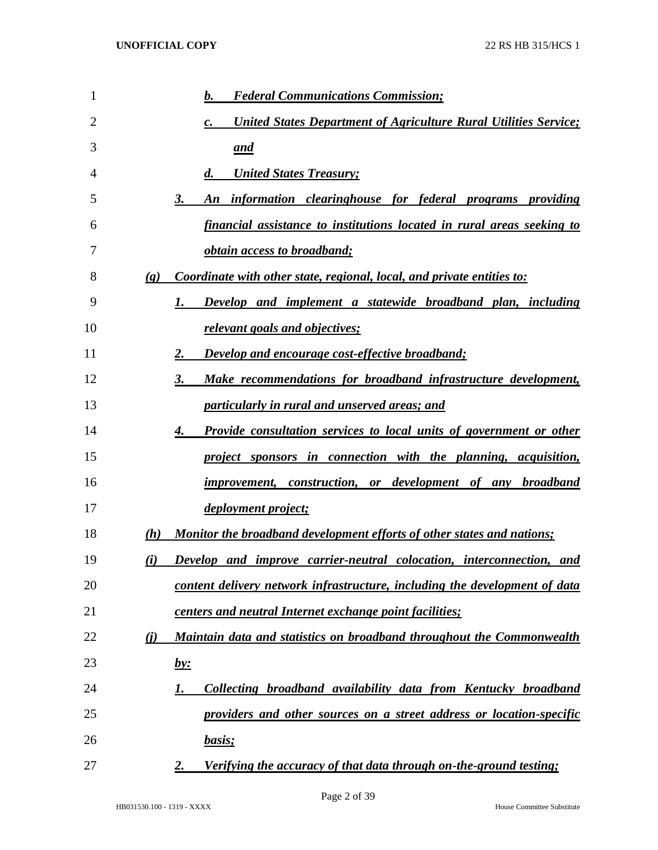| 1  |                             | <b>Federal Communications Commission;</b><br>b.                                            |
|----|-----------------------------|--------------------------------------------------------------------------------------------|
| 2  |                             | <b>United States Department of Agriculture Rural Utilities Service;</b><br>$\mathcal{C}$ . |
| 3  |                             | and                                                                                        |
| 4  |                             | <b>United States Treasury;</b><br>$\boldsymbol{d}$ .                                       |
| 5  | 3.                          | An information clearinghouse for federal programs providing                                |
| 6  |                             | <u>financial assistance to institutions located in rural areas seeking to</u>              |
| 7  |                             | <i><u><b>obtain access to broadband;</b></u></i>                                           |
| 8  | $\left( \mathbf{g} \right)$ | Coordinate with other state, regional, local, and private entities to:                     |
| 9  | 1.                          | Develop and implement a statewide broadband plan, including                                |
| 10 |                             | relevant goals and objectives;                                                             |
| 11 | 2.                          | <b>Develop and encourage cost-effective broadband;</b>                                     |
| 12 | 3.                          | Make recommendations for broadband infrastructure development,                             |
| 13 |                             | particularly in rural and unserved areas; and                                              |
| 14 | 4.                          | Provide consultation services to local units of government or other                        |
| 15 |                             | project sponsors in connection with the planning, acquisition,                             |
| 16 |                             | improvement, construction, or development of any broadband                                 |
| 17 |                             | <i>deployment project;</i>                                                                 |
| 18 | (h)                         | Monitor the broadband development efforts of other states and nations;                     |
| 19 | (i)                         | Develop and improve carrier-neutral colocation, interconnection, and                       |
| 20 |                             | content delivery network infrastructure, including the development of data                 |
| 21 |                             | centers and neutral Internet exchange point facilities;                                    |
| 22 | (i)                         | Maintain data and statistics on broadband throughout the Commonwealth                      |
| 23 | <u>by:</u>                  |                                                                                            |
| 24 | 1.                          | Collecting broadband availability data from Kentucky broadband                             |
| 25 |                             | providers and other sources on a street address or location-specific                       |
| 26 |                             | basis;                                                                                     |
| 27 | 2.                          | Verifying the accuracy of that data through on-the-ground testing;                         |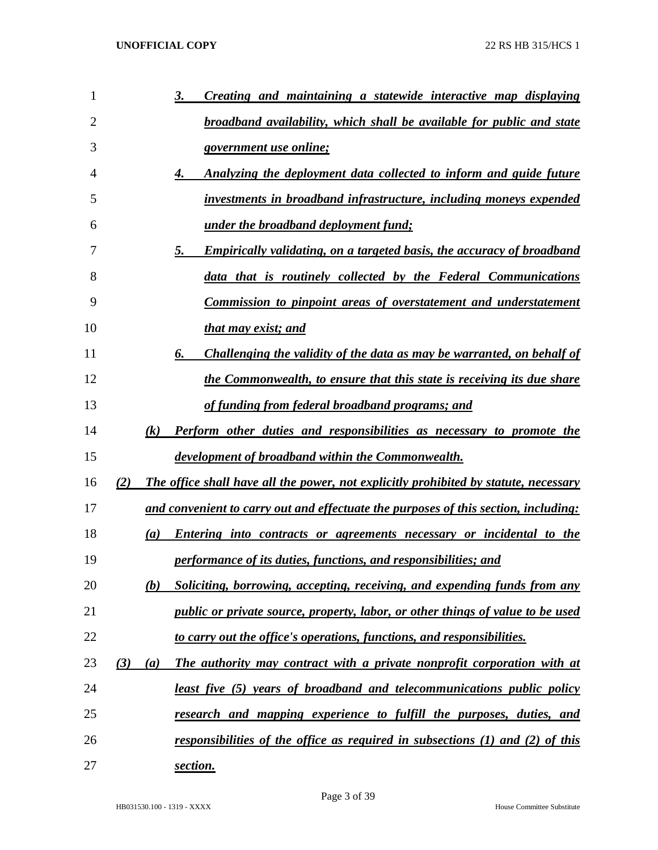| 1              |     |                  | Creating and maintaining a statewide interactive map displaying<br>3.                       |
|----------------|-----|------------------|---------------------------------------------------------------------------------------------|
| $\overline{2}$ |     |                  | <u>broadband availability, which shall be available for public and state</u>                |
| 3              |     |                  | <u>government use online;</u>                                                               |
| 4              |     |                  | Analyzing the deployment data collected to inform and guide future<br>4.                    |
| 5              |     |                  | investments in broadband infrastructure, including moneys expended                          |
| 6              |     |                  | <u>under the broadband deployment fund;</u>                                                 |
| 7              |     |                  | 5.<br><u>Empirically validating, on a targeted basis, the accuracy of broadband</u>         |
| 8              |     |                  | data that is routinely collected by the Federal Communications                              |
| 9              |     |                  | Commission to pinpoint areas of overstatement and understatement                            |
| 10             |     |                  | that may exist; and                                                                         |
| 11             |     |                  | Challenging the validity of the data as may be warranted, on behalf of<br>6.                |
| 12             |     |                  | the Commonwealth, to ensure that this state is receiving its due share                      |
| 13             |     |                  | of funding from federal broadband programs; and                                             |
| 14             |     | (k)              | Perform other duties and responsibilities as necessary to promote the                       |
| 15             |     |                  | development of broadband within the Commonwealth.                                           |
| 16             | (2) |                  | <b>The office shall have all the power, not explicitly prohibited by statute, necessary</b> |
| 17             |     |                  | and convenient to carry out and effectuate the purposes of this section, including:         |
| 18             |     | $\left(a\right)$ | Entering into contracts or agreements necessary or incidental to the                        |
| 19             |     |                  | <i>performance of its duties, functions, and responsibilities; and</i>                      |
| 20             |     | (b)              | Soliciting, borrowing, accepting, receiving, and expending funds from any                   |
| 21             |     |                  | <i>public or private source, property, labor, or other things of value to be used</i>       |
| 22             |     |                  | to carry out the office's operations, functions, and responsibilities.                      |
| 23             | (3) | (a)              | The authority may contract with a private nonprofit corporation with at                     |
| 24             |     |                  | <u>least five (5) years of broadband and telecommunications public policy</u>               |
| 25             |     |                  | research and mapping experience to fulfill the purposes, duties, and                        |
| 26             |     |                  | responsibilities of the office as required in subsections (1) and (2) of this               |
| 27             |     |                  | section.                                                                                    |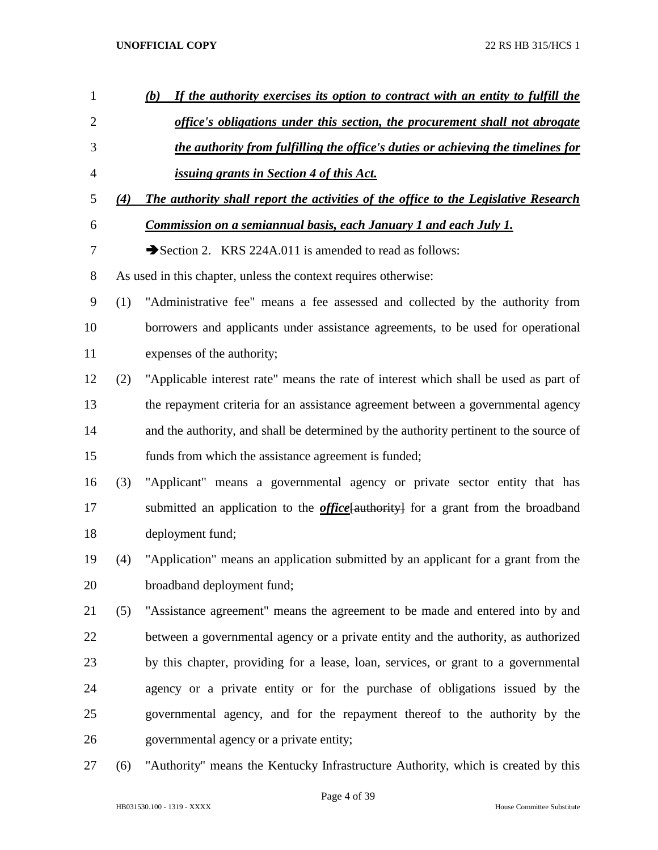| $\mathbf{1}$   |     | If the authority exercises its option to contract with an entity to fulfill the<br>(b)   |
|----------------|-----|------------------------------------------------------------------------------------------|
| $\overline{2}$ |     | office's obligations under this section, the procurement shall not abrogate              |
| 3              |     | the authority from fulfilling the office's duties or achieving the timelines for         |
| $\overline{4}$ |     | <u>issuing grants in Section 4 of this Act.</u>                                          |
| 5              | (4) | The authority shall report the activities of the office to the Legislative Research      |
| 6              |     | Commission on a semiannual basis, each January 1 and each July 1.                        |
| 7              |     | Section 2. KRS 224A.011 is amended to read as follows:                                   |
| $8\,$          |     | As used in this chapter, unless the context requires otherwise:                          |
| 9              | (1) | "Administrative fee" means a fee assessed and collected by the authority from            |
| 10             |     | borrowers and applicants under assistance agreements, to be used for operational         |
| 11             |     | expenses of the authority;                                                               |
| 12             | (2) | "Applicable interest rate" means the rate of interest which shall be used as part of     |
| 13             |     | the repayment criteria for an assistance agreement between a governmental agency         |
| 14             |     | and the authority, and shall be determined by the authority pertinent to the source of   |
| 15             |     | funds from which the assistance agreement is funded;                                     |
| 16             | (3) | "Applicant" means a governmental agency or private sector entity that has                |
| 17             |     | submitted an application to the <i>office</i> [authority] for a grant from the broadband |
| 18             |     | deployment fund;                                                                         |
| 19             | (4) | "Application" means an application submitted by an applicant for a grant from the        |
| 20             |     | broadband deployment fund;                                                               |
| 21             | (5) | "Assistance agreement" means the agreement to be made and entered into by and            |
| 22             |     | between a governmental agency or a private entity and the authority, as authorized       |
| 23             |     | by this chapter, providing for a lease, loan, services, or grant to a governmental       |
| 24             |     | agency or a private entity or for the purchase of obligations issued by the              |
| 25             |     | governmental agency, and for the repayment thereof to the authority by the               |
| 26             |     | governmental agency or a private entity;                                                 |
| 27             | (6) | "Authority" means the Kentucky Infrastructure Authority, which is created by this        |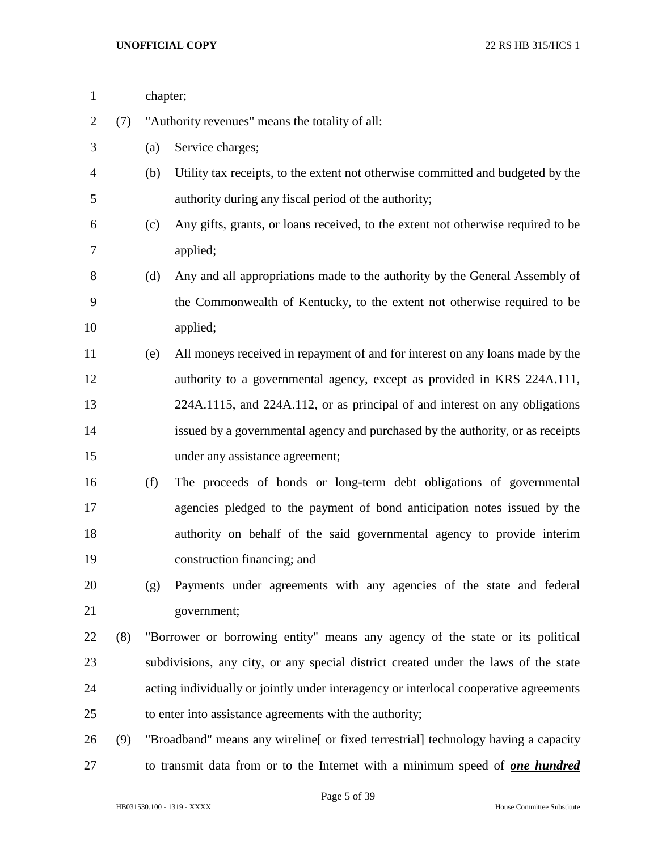| $\mathbf{1}$   |     | chapter; |                                                                                       |  |  |
|----------------|-----|----------|---------------------------------------------------------------------------------------|--|--|
| $\overline{2}$ | (7) |          | "Authority revenues" means the totality of all:                                       |  |  |
| 3              |     | (a)      | Service charges;                                                                      |  |  |
| 4              |     | (b)      | Utility tax receipts, to the extent not otherwise committed and budgeted by the       |  |  |
| 5              |     |          | authority during any fiscal period of the authority;                                  |  |  |
| 6              |     | (c)      | Any gifts, grants, or loans received, to the extent not otherwise required to be      |  |  |
| 7              |     |          | applied;                                                                              |  |  |
| 8              |     | (d)      | Any and all appropriations made to the authority by the General Assembly of           |  |  |
| 9              |     |          | the Commonwealth of Kentucky, to the extent not otherwise required to be              |  |  |
| 10             |     |          | applied;                                                                              |  |  |
| 11             |     | (e)      | All moneys received in repayment of and for interest on any loans made by the         |  |  |
| 12             |     |          | authority to a governmental agency, except as provided in KRS 224A.111,               |  |  |
| 13             |     |          | 224A.1115, and 224A.112, or as principal of and interest on any obligations           |  |  |
| 14             |     |          | issued by a governmental agency and purchased by the authority, or as receipts        |  |  |
| 15             |     |          | under any assistance agreement;                                                       |  |  |
| 16             |     | (f)      | The proceeds of bonds or long-term debt obligations of governmental                   |  |  |
| 17             |     |          | agencies pledged to the payment of bond anticipation notes issued by the              |  |  |
| 18             |     |          | authority on behalf of the said governmental agency to provide interim                |  |  |
| 19             |     |          | construction financing; and                                                           |  |  |
| 20             |     | (g)      | Payments under agreements with any agencies of the state and federal                  |  |  |
| 21             |     |          | government;                                                                           |  |  |
| 22             | (8) |          | "Borrower or borrowing entity" means any agency of the state or its political         |  |  |
| 23             |     |          | subdivisions, any city, or any special district created under the laws of the state   |  |  |
| 24             |     |          | acting individually or jointly under interagency or interlocal cooperative agreements |  |  |
| 25             |     |          | to enter into assistance agreements with the authority;                               |  |  |
| 26             | (9) |          | "Broadband" means any wireline [ or fixed terrestrial] technology having a capacity   |  |  |
| 27             |     |          | to transmit data from or to the Internet with a minimum speed of <b>one hundred</b>   |  |  |

Page 5 of 39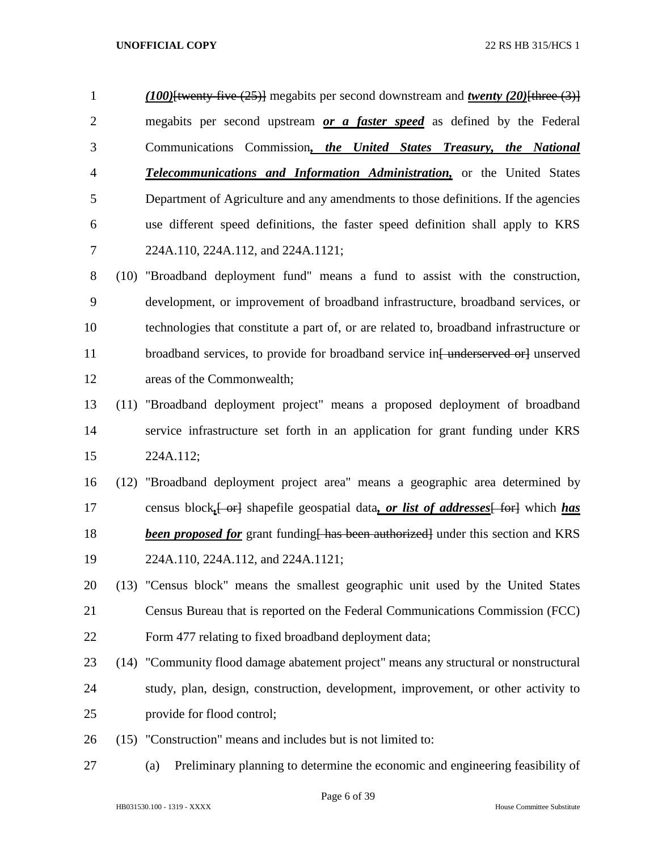- *(100)*[twenty-five (25)] megabits per second downstream and *twenty (20)*[three (3)] megabits per second upstream *or a faster speed* as defined by the Federal Communications Commission*, the United States Treasury, the National Telecommunications and Information Administration,* or the United States Department of Agriculture and any amendments to those definitions. If the agencies use different speed definitions, the faster speed definition shall apply to KRS 224A.110, 224A.112, and 224A.1121;
- (10) "Broadband deployment fund" means a fund to assist with the construction, development, or improvement of broadband infrastructure, broadband services, or technologies that constitute a part of, or are related to, broadband infrastructure or 11 broadband services, to provide for broadband service in<del>[ underserved or]</del> unserved areas of the Commonwealth;
- (11) "Broadband deployment project" means a proposed deployment of broadband service infrastructure set forth in an application for grant funding under KRS 224A.112;
- (12) "Broadband deployment project area" means a geographic area determined by 17 census block, <del>[ or]</del> shapefile geospatial data, *or list of addresses* [ for] which *has been proposed for* grant funding has been authorized under this section and KRS 224A.110, 224A.112, and 224A.1121;
- (13) "Census block" means the smallest geographic unit used by the United States Census Bureau that is reported on the Federal Communications Commission (FCC) Form 477 relating to fixed broadband deployment data;
- (14) "Community flood damage abatement project" means any structural or nonstructural study, plan, design, construction, development, improvement, or other activity to provide for flood control;
- (15) "Construction" means and includes but is not limited to:
- (a) Preliminary planning to determine the economic and engineering feasibility of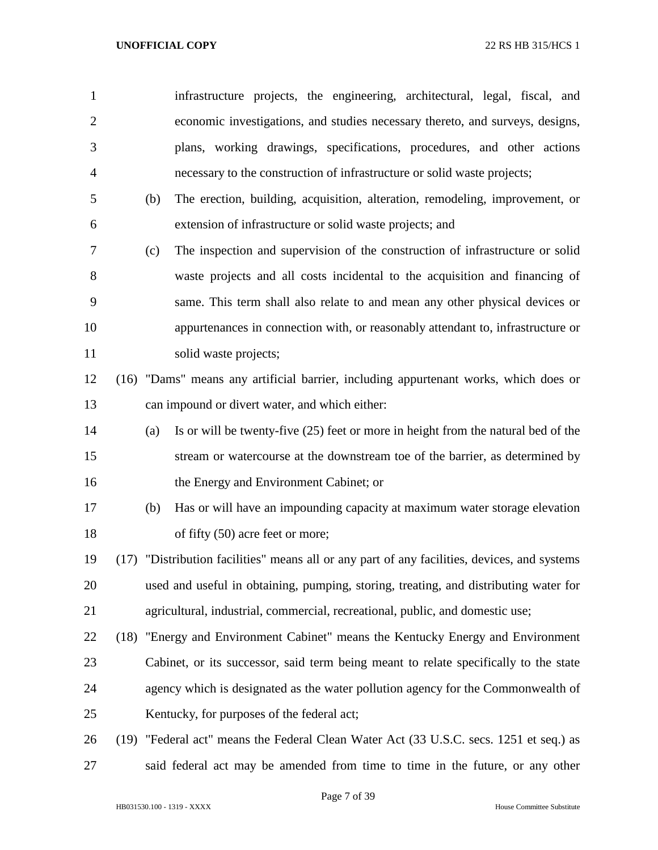| $\mathbf{1}$   |     | infrastructure projects, the engineering, architectural, legal, fiscal, and                  |
|----------------|-----|----------------------------------------------------------------------------------------------|
| $\overline{2}$ |     | economic investigations, and studies necessary thereto, and surveys, designs,                |
| 3              |     | plans, working drawings, specifications, procedures, and other actions                       |
| $\overline{4}$ |     | necessary to the construction of infrastructure or solid waste projects;                     |
| 5              | (b) | The erection, building, acquisition, alteration, remodeling, improvement, or                 |
| 6              |     | extension of infrastructure or solid waste projects; and                                     |
| 7              | (c) | The inspection and supervision of the construction of infrastructure or solid                |
| 8              |     | waste projects and all costs incidental to the acquisition and financing of                  |
| 9              |     | same. This term shall also relate to and mean any other physical devices or                  |
| 10             |     | appurtenances in connection with, or reasonably attendant to, infrastructure or              |
| 11             |     | solid waste projects;                                                                        |
| 12             |     | (16) "Dams" means any artificial barrier, including appurtenant works, which does or         |
| 13             |     | can impound or divert water, and which either:                                               |
| 14             | (a) | Is or will be twenty-five $(25)$ feet or more in height from the natural bed of the          |
| 15             |     | stream or watercourse at the downstream toe of the barrier, as determined by                 |
| 16             |     | the Energy and Environment Cabinet; or                                                       |
| 17             | (b) | Has or will have an impounding capacity at maximum water storage elevation                   |
| 18             |     | of fifty (50) acre feet or more;                                                             |
| 19             |     | (17) "Distribution facilities" means all or any part of any facilities, devices, and systems |
| 20             |     | used and useful in obtaining, pumping, storing, treating, and distributing water for         |
| 21             |     | agricultural, industrial, commercial, recreational, public, and domestic use;                |
| 22             |     | (18) "Energy and Environment Cabinet" means the Kentucky Energy and Environment              |
| 23             |     | Cabinet, or its successor, said term being meant to relate specifically to the state         |
| 24             |     | agency which is designated as the water pollution agency for the Commonwealth of             |
| 25             |     | Kentucky, for purposes of the federal act;                                                   |
| 26             |     | (19) "Federal act" means the Federal Clean Water Act (33 U.S.C. secs. 1251 et seq.) as       |
| 27             |     | said federal act may be amended from time to time in the future, or any other                |

Page 7 of 39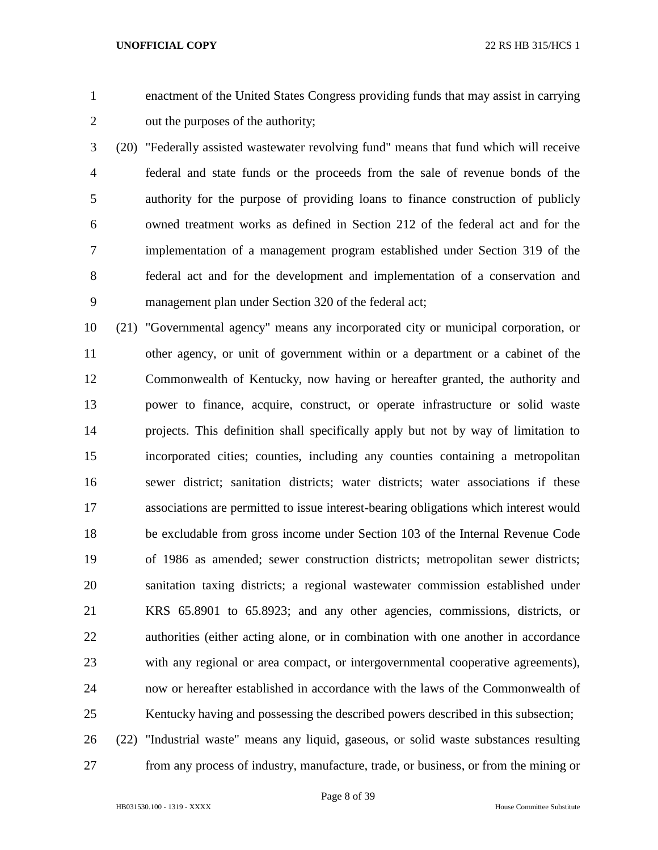enactment of the United States Congress providing funds that may assist in carrying out the purposes of the authority;

 (20) "Federally assisted wastewater revolving fund" means that fund which will receive federal and state funds or the proceeds from the sale of revenue bonds of the authority for the purpose of providing loans to finance construction of publicly owned treatment works as defined in Section 212 of the federal act and for the implementation of a management program established under Section 319 of the federal act and for the development and implementation of a conservation and management plan under Section 320 of the federal act;

 (21) "Governmental agency" means any incorporated city or municipal corporation, or other agency, or unit of government within or a department or a cabinet of the Commonwealth of Kentucky, now having or hereafter granted, the authority and power to finance, acquire, construct, or operate infrastructure or solid waste projects. This definition shall specifically apply but not by way of limitation to incorporated cities; counties, including any counties containing a metropolitan sewer district; sanitation districts; water districts; water associations if these associations are permitted to issue interest-bearing obligations which interest would be excludable from gross income under Section 103 of the Internal Revenue Code of 1986 as amended; sewer construction districts; metropolitan sewer districts; sanitation taxing districts; a regional wastewater commission established under KRS 65.8901 to 65.8923; and any other agencies, commissions, districts, or authorities (either acting alone, or in combination with one another in accordance with any regional or area compact, or intergovernmental cooperative agreements), now or hereafter established in accordance with the laws of the Commonwealth of Kentucky having and possessing the described powers described in this subsection; (22) "Industrial waste" means any liquid, gaseous, or solid waste substances resulting

from any process of industry, manufacture, trade, or business, or from the mining or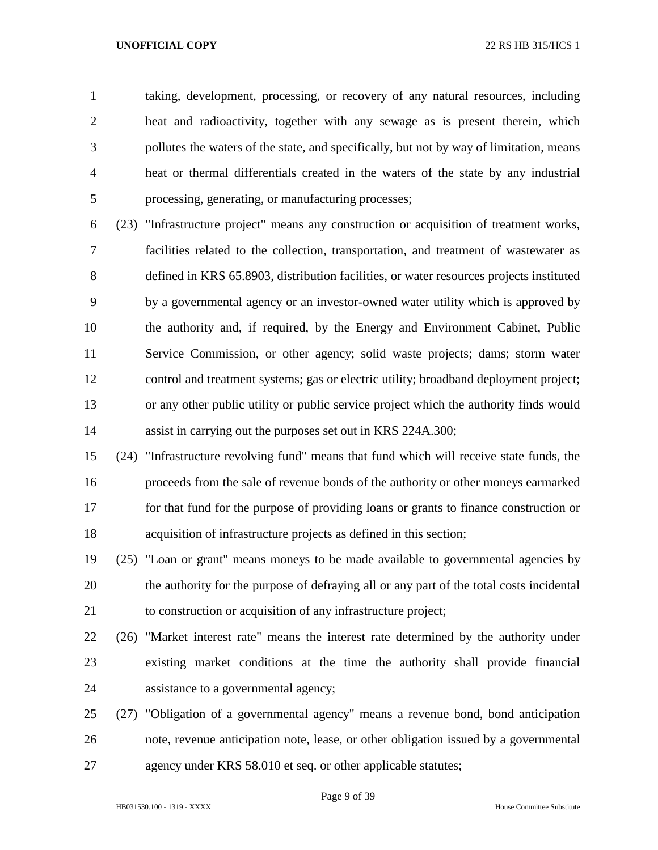taking, development, processing, or recovery of any natural resources, including heat and radioactivity, together with any sewage as is present therein, which pollutes the waters of the state, and specifically, but not by way of limitation, means heat or thermal differentials created in the waters of the state by any industrial processing, generating, or manufacturing processes;

 (23) "Infrastructure project" means any construction or acquisition of treatment works, facilities related to the collection, transportation, and treatment of wastewater as defined in KRS 65.8903, distribution facilities, or water resources projects instituted by a governmental agency or an investor-owned water utility which is approved by the authority and, if required, by the Energy and Environment Cabinet, Public Service Commission, or other agency; solid waste projects; dams; storm water control and treatment systems; gas or electric utility; broadband deployment project; or any other public utility or public service project which the authority finds would assist in carrying out the purposes set out in KRS 224A.300;

 (24) "Infrastructure revolving fund" means that fund which will receive state funds, the proceeds from the sale of revenue bonds of the authority or other moneys earmarked for that fund for the purpose of providing loans or grants to finance construction or acquisition of infrastructure projects as defined in this section;

 (25) "Loan or grant" means moneys to be made available to governmental agencies by the authority for the purpose of defraying all or any part of the total costs incidental to construction or acquisition of any infrastructure project;

 (26) "Market interest rate" means the interest rate determined by the authority under existing market conditions at the time the authority shall provide financial assistance to a governmental agency;

 (27) "Obligation of a governmental agency" means a revenue bond, bond anticipation note, revenue anticipation note, lease, or other obligation issued by a governmental agency under KRS 58.010 et seq. or other applicable statutes;

Page 9 of 39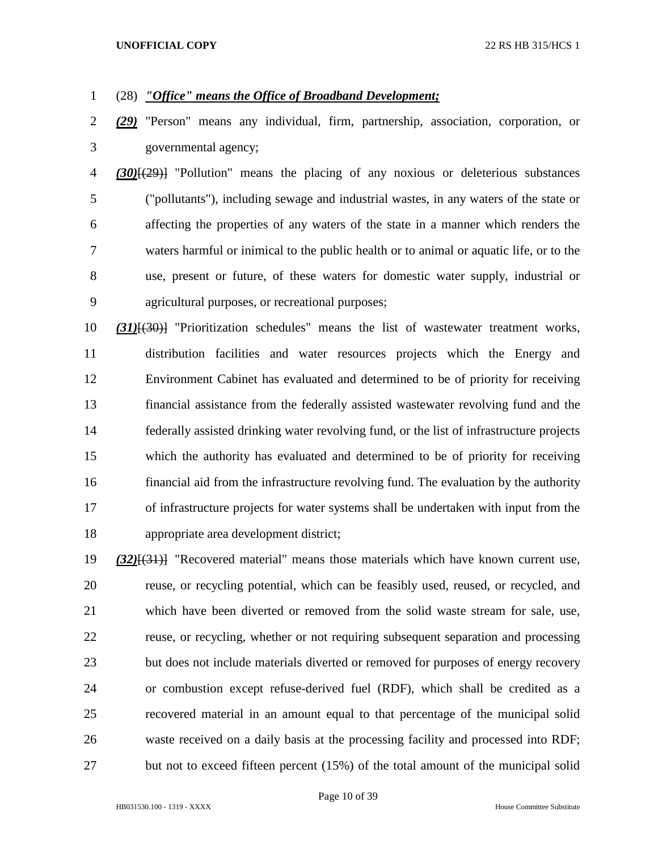# (28) *"Office" means the Office of Broadband Development;*

 *(29)* "Person" means any individual, firm, partnership, association, corporation, or governmental agency;

 *(30)*[(29)] "Pollution" means the placing of any noxious or deleterious substances ("pollutants"), including sewage and industrial wastes, in any waters of the state or affecting the properties of any waters of the state in a manner which renders the waters harmful or inimical to the public health or to animal or aquatic life, or to the use, present or future, of these waters for domestic water supply, industrial or agricultural purposes, or recreational purposes;

 *(31)*[(30)] "Prioritization schedules" means the list of wastewater treatment works, distribution facilities and water resources projects which the Energy and Environment Cabinet has evaluated and determined to be of priority for receiving financial assistance from the federally assisted wastewater revolving fund and the federally assisted drinking water revolving fund, or the list of infrastructure projects which the authority has evaluated and determined to be of priority for receiving financial aid from the infrastructure revolving fund. The evaluation by the authority of infrastructure projects for water systems shall be undertaken with input from the appropriate area development district;

 *(32)*[(31)] "Recovered material" means those materials which have known current use, reuse, or recycling potential, which can be feasibly used, reused, or recycled, and which have been diverted or removed from the solid waste stream for sale, use, reuse, or recycling, whether or not requiring subsequent separation and processing but does not include materials diverted or removed for purposes of energy recovery or combustion except refuse-derived fuel (RDF), which shall be credited as a recovered material in an amount equal to that percentage of the municipal solid waste received on a daily basis at the processing facility and processed into RDF; but not to exceed fifteen percent (15%) of the total amount of the municipal solid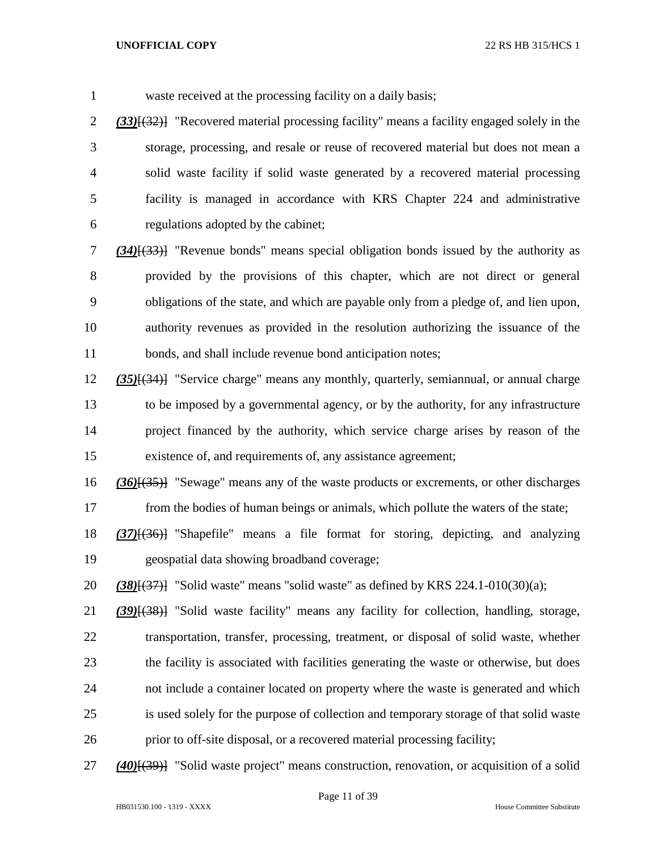waste received at the processing facility on a daily basis;

 *(33)*[(32)] "Recovered material processing facility" means a facility engaged solely in the storage, processing, and resale or reuse of recovered material but does not mean a solid waste facility if solid waste generated by a recovered material processing facility is managed in accordance with KRS Chapter 224 and administrative regulations adopted by the cabinet;

 *(34)*[(33)] "Revenue bonds" means special obligation bonds issued by the authority as provided by the provisions of this chapter, which are not direct or general obligations of the state, and which are payable only from a pledge of, and lien upon, authority revenues as provided in the resolution authorizing the issuance of the 11 bonds, and shall include revenue bond anticipation notes;

 *(35)*[(34)] "Service charge" means any monthly, quarterly, semiannual, or annual charge to be imposed by a governmental agency, or by the authority, for any infrastructure project financed by the authority, which service charge arises by reason of the existence of, and requirements of, any assistance agreement;

 *(36)*[(35)] "Sewage" means any of the waste products or excrements, or other discharges from the bodies of human beings or animals, which pollute the waters of the state;

 *(37)*[(36)] "Shapefile" means a file format for storing, depicting, and analyzing geospatial data showing broadband coverage;

*(38)*[(37)] "Solid waste" means "solid waste" as defined by KRS 224.1-010(30)(a);

 *(39)*[(38)] "Solid waste facility" means any facility for collection, handling, storage, transportation, transfer, processing, treatment, or disposal of solid waste, whether the facility is associated with facilities generating the waste or otherwise, but does not include a container located on property where the waste is generated and which is used solely for the purpose of collection and temporary storage of that solid waste prior to off-site disposal, or a recovered material processing facility;

*(40)*[(39)] "Solid waste project" means construction, renovation, or acquisition of a solid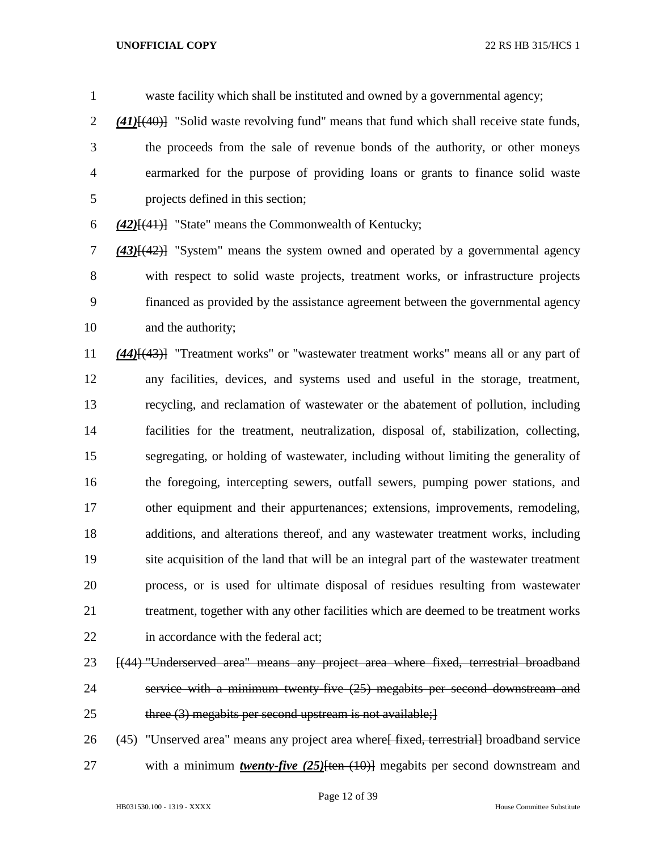waste facility which shall be instituted and owned by a governmental agency; *(41)*[(40)] "Solid waste revolving fund" means that fund which shall receive state funds, the proceeds from the sale of revenue bonds of the authority, or other moneys earmarked for the purpose of providing loans or grants to finance solid waste projects defined in this section;

*(42)*[(41)] "State" means the Commonwealth of Kentucky;

 *(43)*[(42)] "System" means the system owned and operated by a governmental agency with respect to solid waste projects, treatment works, or infrastructure projects financed as provided by the assistance agreement between the governmental agency and the authority;

 *(44)*[(43)] "Treatment works" or "wastewater treatment works" means all or any part of any facilities, devices, and systems used and useful in the storage, treatment, recycling, and reclamation of wastewater or the abatement of pollution, including facilities for the treatment, neutralization, disposal of, stabilization, collecting, segregating, or holding of wastewater, including without limiting the generality of the foregoing, intercepting sewers, outfall sewers, pumping power stations, and other equipment and their appurtenances; extensions, improvements, remodeling, additions, and alterations thereof, and any wastewater treatment works, including site acquisition of the land that will be an integral part of the wastewater treatment process, or is used for ultimate disposal of residues resulting from wastewater treatment, together with any other facilities which are deemed to be treatment works 22 in accordance with the federal act;

- [(44) "Underserved area" means any project area where fixed, terrestrial broadband service with a minimum twenty-five (25) megabits per second downstream and 25 three (3) megabits per second upstream is not available;
- 26 (45) "Unserved area" means any project area where fixed, terrestriall broadband service 27 with a minimum *twenty-five (25)*<sup>{ten (10)}</sup> megabits per second downstream and
-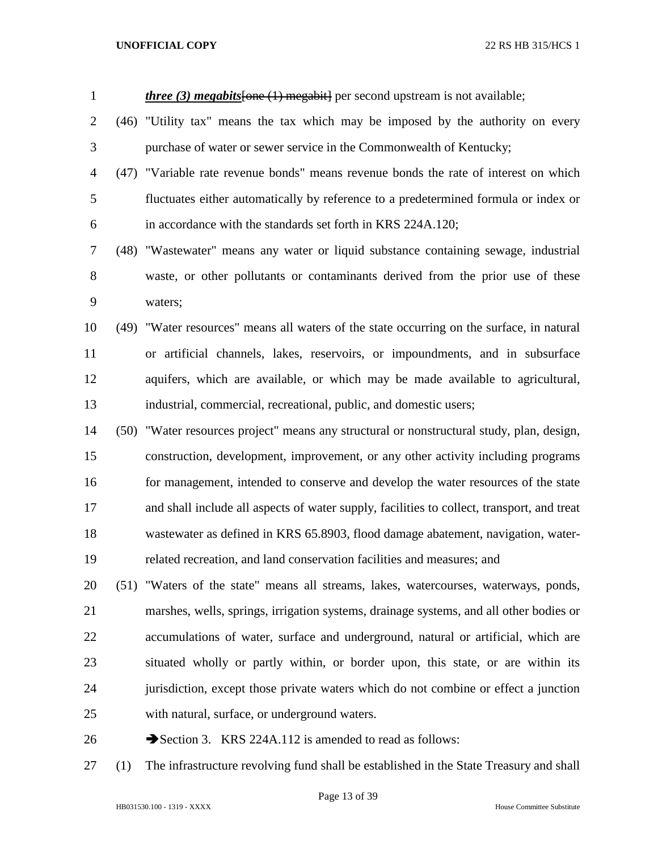| $\mathbf{1}$   |      | <i>three (3) megabits</i> [one (1) megabit] per second upstream is not available;          |
|----------------|------|--------------------------------------------------------------------------------------------|
| $\overline{2}$ |      | (46) "Utility tax" means the tax which may be imposed by the authority on every            |
| 3              |      | purchase of water or sewer service in the Commonwealth of Kentucky;                        |
| 4              |      | (47) "Variable rate revenue bonds" means revenue bonds the rate of interest on which       |
| 5              |      | fluctuates either automatically by reference to a predetermined formula or index or        |
| 6              |      | in accordance with the standards set forth in KRS 224A.120;                                |
| 7              |      | (48) "Wastewater" means any water or liquid substance containing sewage, industrial        |
| 8              |      | waste, or other pollutants or contaminants derived from the prior use of these             |
| 9              |      | waters;                                                                                    |
| 10             | (49) | "Water resources" means all waters of the state occurring on the surface, in natural       |
| 11             |      | or artificial channels, lakes, reservoirs, or impoundments, and in subsurface              |
| 12             |      | aquifers, which are available, or which may be made available to agricultural,             |
| 13             |      | industrial, commercial, recreational, public, and domestic users;                          |
| 14             | (50) | "Water resources project" means any structural or nonstructural study, plan, design,       |
| 15             |      | construction, development, improvement, or any other activity including programs           |
| 16             |      | for management, intended to conserve and develop the water resources of the state          |
| 17             |      | and shall include all aspects of water supply, facilities to collect, transport, and treat |
| 18             |      | wastewater as defined in KRS 65.8903, flood damage abatement, navigation, water-           |
| 19             |      | related recreation, and land conservation facilities and measures; and                     |
| 20             |      | (51) "Waters of the state" means all streams, lakes, watercourses, waterways, ponds,       |
| 21             |      | marshes, wells, springs, irrigation systems, drainage systems, and all other bodies or     |
| 22             |      | accumulations of water, surface and underground, natural or artificial, which are          |
| 23             |      | situated wholly or partly within, or border upon, this state, or are within its            |
| 24             |      | jurisdiction, except those private waters which do not combine or effect a junction        |
| 25             |      | with natural, surface, or underground waters.                                              |
| 26             |      | Section 3. KRS 224A.112 is amended to read as follows:                                     |

(1) The infrastructure revolving fund shall be established in the State Treasury and shall

Page 13 of 39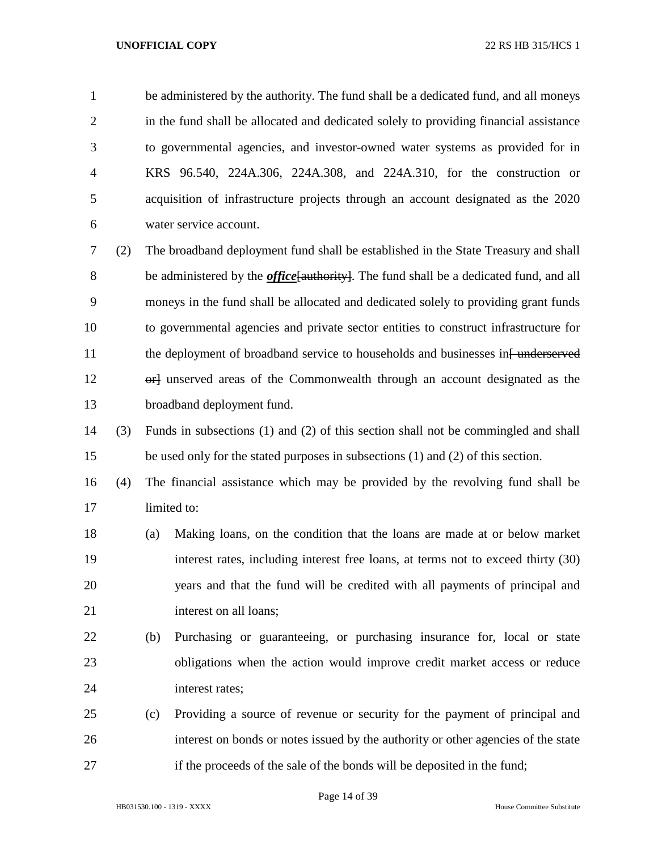be administered by the authority. The fund shall be a dedicated fund, and all moneys 2 in the fund shall be allocated and dedicated solely to providing financial assistance to governmental agencies, and investor-owned water systems as provided for in KRS 96.540, 224A.306, 224A.308, and 224A.310, for the construction or acquisition of infrastructure projects through an account designated as the 2020 water service account.

 (2) The broadband deployment fund shall be established in the State Treasury and shall be administered by the *office*[authority]. The fund shall be a dedicated fund, and all moneys in the fund shall be allocated and dedicated solely to providing grant funds to governmental agencies and private sector entities to construct infrastructure for 11 the deployment of broadband service to households and businesses in [ underserved 12 or lunserved areas of the Commonwealth through an account designated as the broadband deployment fund.

 (3) Funds in subsections (1) and (2) of this section shall not be commingled and shall be used only for the stated purposes in subsections (1) and (2) of this section.

- (4) The financial assistance which may be provided by the revolving fund shall be limited to:
- (a) Making loans, on the condition that the loans are made at or below market interest rates, including interest free loans, at terms not to exceed thirty (30) years and that the fund will be credited with all payments of principal and 21 interest on all loans;
- (b) Purchasing or guaranteeing, or purchasing insurance for, local or state obligations when the action would improve credit market access or reduce interest rates;
- (c) Providing a source of revenue or security for the payment of principal and interest on bonds or notes issued by the authority or other agencies of the state if the proceeds of the sale of the bonds will be deposited in the fund;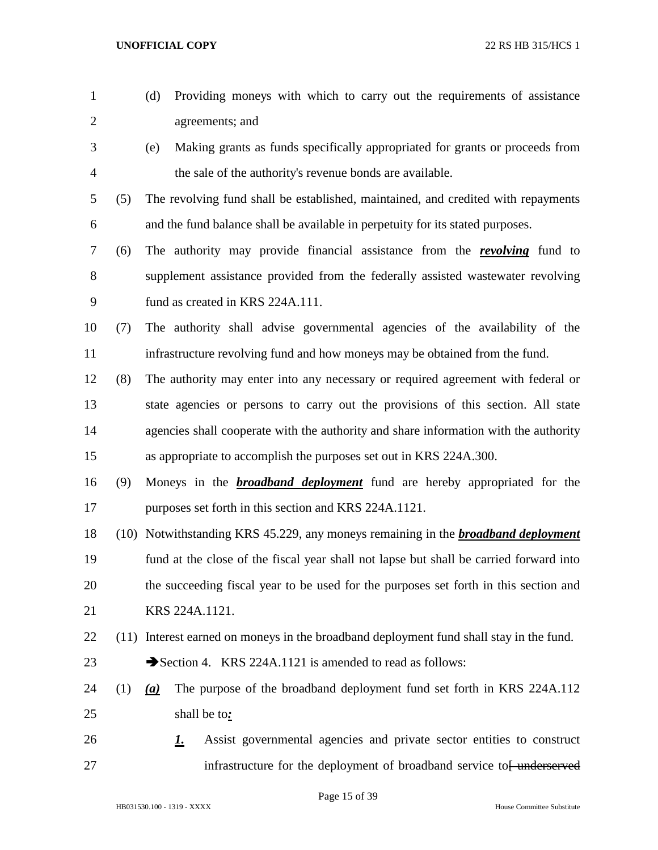| $\mathbf{1}$   |      | Providing moneys with which to carry out the requirements of assistance<br>(d)         |
|----------------|------|----------------------------------------------------------------------------------------|
| $\overline{2}$ |      | agreements; and                                                                        |
| 3              |      | Making grants as funds specifically appropriated for grants or proceeds from<br>(e)    |
| 4              |      | the sale of the authority's revenue bonds are available.                               |
| 5              | (5)  | The revolving fund shall be established, maintained, and credited with repayments      |
| 6              |      | and the fund balance shall be available in perpetuity for its stated purposes.         |
| 7              | (6)  | The authority may provide financial assistance from the <b>revolving</b> fund to       |
| 8              |      | supplement assistance provided from the federally assisted was tewater revolving       |
| 9              |      | fund as created in KRS 224A.111.                                                       |
| 10             | (7)  | The authority shall advise governmental agencies of the availability of the            |
| 11             |      | infrastructure revolving fund and how moneys may be obtained from the fund.            |
| 12             | (8)  | The authority may enter into any necessary or required agreement with federal or       |
| 13             |      | state agencies or persons to carry out the provisions of this section. All state       |
| 14             |      | agencies shall cooperate with the authority and share information with the authority   |
| 15             |      | as appropriate to accomplish the purposes set out in KRS 224A.300.                     |
| 16             | (9)  | Moneys in the <b>broadband deployment</b> fund are hereby appropriated for the         |
| 17             |      | purposes set forth in this section and KRS 224A.1121.                                  |
| 18             | (10) | Notwithstanding KRS 45.229, any moneys remaining in the <b>broadband deployment</b>    |
| 19             |      | fund at the close of the fiscal year shall not lapse but shall be carried forward into |
| 20             |      | the succeeding fiscal year to be used for the purposes set forth in this section and   |
| 21             |      | KRS 224A.1121.                                                                         |
| 22             | (11) | Interest earned on moneys in the broadband deployment fund shall stay in the fund.     |
| 23             |      | Section 4. KRS 224A.1121 is amended to read as follows:                                |
| 24             | (1)  | The purpose of the broadband deployment fund set forth in KRS 224A.112<br>(a)          |
| 25             |      | shall be to:                                                                           |
| 26             |      | Assist governmental agencies and private sector entities to construct<br><u>I.</u>     |
| 27             |      | infrastructure for the deployment of broadband service to <del>[ underserved</del>     |

Page 15 of 39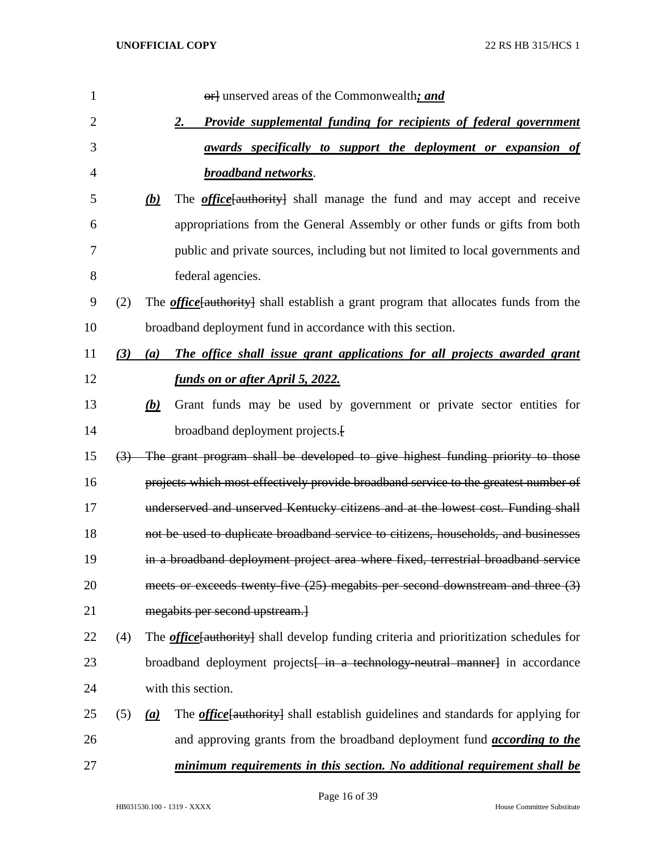| 1              |     |                    | or] unserved areas of the Commonwealth; and                                                   |
|----------------|-----|--------------------|-----------------------------------------------------------------------------------------------|
| $\overline{c}$ |     | 2.                 | Provide supplemental funding for recipients of federal government                             |
| 3              |     |                    | <u>awards specifically to support the deployment or expansion of</u>                          |
| $\overline{4}$ |     |                    | <b>broadband networks.</b>                                                                    |
| 5              |     | <u>(b)</u>         | The <i>office</i> [authority] shall manage the fund and may accept and receive                |
| 6              |     |                    | appropriations from the General Assembly or other funds or gifts from both                    |
| 7              |     |                    | public and private sources, including but not limited to local governments and                |
| 8              |     |                    | federal agencies.                                                                             |
| 9              | (2) |                    | The <i>office</i> [authority] shall establish a grant program that allocates funds from the   |
| 10             |     |                    | broadband deployment fund in accordance with this section.                                    |
| 11             | (3) | (a)                | The office shall issue grant applications for all projects awarded grant                      |
| 12             |     |                    | funds on or after April 5, 2022.                                                              |
| 13             |     | (b)                | Grant funds may be used by government or private sector entities for                          |
| 14             |     |                    | broadband deployment projects.                                                                |
| 15             |     |                    | (3) The grant program shall be developed to give highest funding priority to those            |
| 16             |     |                    | projects which most effectively provide broadband service to the greatest number of           |
| 17             |     |                    | underserved and unserved Kentucky citizens and at the lowest cost. Funding shall              |
| 18             |     |                    | not be used to duplicate broadband service to citizens, households, and businesses            |
| 19             |     |                    | in a broadband deployment project area where fixed, terrestrial broadband service             |
| 20             |     |                    | meets or exceeds twenty-five (25) megabits per second downstream and three (3)                |
| 21             |     |                    | megabits per second upstream.}                                                                |
| 22             | (4) |                    | The <i>office</i> [authority] shall develop funding criteria and prioritization schedules for |
| 23             |     |                    | broadband deployment projects <del>[ in a technology-neutral manner]</del> in accordance      |
| 24             |     | with this section. |                                                                                               |
| 25             | (5) | (a)                | The <i>office</i> [authority] shall establish guidelines and standards for applying for       |
| 26             |     |                    | and approving grants from the broadband deployment fund <i>according to the</i>               |
| 27             |     |                    | minimum requirements in this section. No additional requirement shall be                      |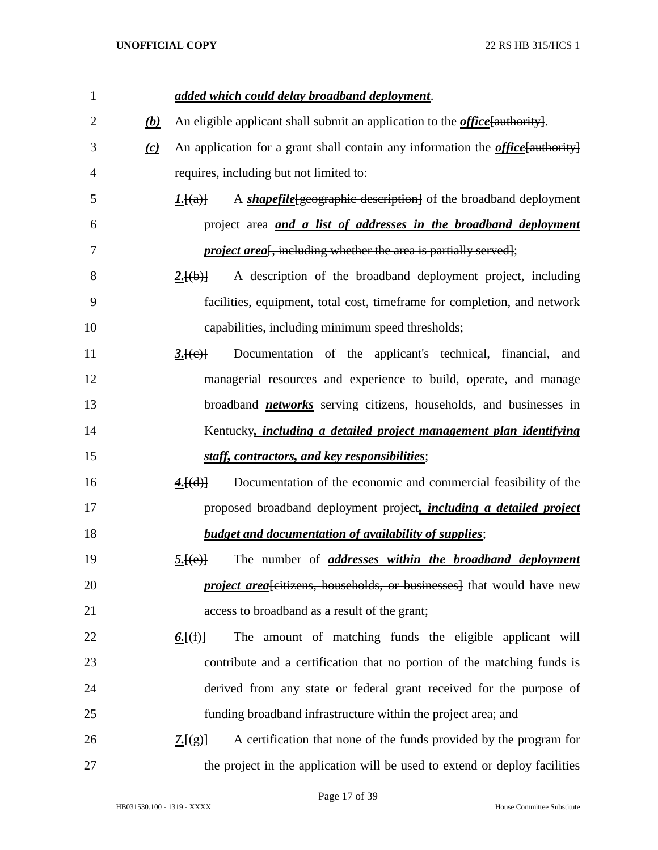| $\mathbf{1}$   |          | added which could delay broadband deployment.                                              |
|----------------|----------|--------------------------------------------------------------------------------------------|
| $\overline{2}$ | (b)      | An eligible applicant shall submit an application to the <i>office</i> [authority].        |
| 3              | $\omega$ | An application for a grant shall contain any information the <i>office</i> [authority]     |
| 4              |          | requires, including but not limited to:                                                    |
| 5              |          | A <i>shapefile</i> [geographic description] of the broadband deployment<br>$I.\text{H}(a)$ |
| 6              |          | project area <i>and a list of addresses in the broadband deployment</i>                    |
| 7              |          | <i>project area</i> <sup>[</sup> , including whether the area is partially served];        |
| 8              |          | A description of the broadband deployment project, including<br>2.[(b)]                    |
| 9              |          | facilities, equipment, total cost, timeframe for completion, and network                   |
| 10             |          | capabilities, including minimum speed thresholds;                                          |
| 11             |          | Documentation of the applicant's technical, financial, and<br>3.[(e)]                      |
| 12             |          | managerial resources and experience to build, operate, and manage                          |
| 13             |          | broadband <i>networks</i> serving citizens, households, and businesses in                  |
| 14             |          | Kentucky, <i>including a detailed project management plan identifying</i>                  |
| 15             |          | staff, contractors, and key responsibilities;                                              |
| 16             |          | 4.[(d)]<br>Documentation of the economic and commercial feasibility of the                 |
| 17             |          | proposed broadband deployment project, <i>including a detailed project</i>                 |
| 18             |          | <b>budget and documentation of availability of supplies;</b>                               |
| 19             |          | The number of <i>addresses within the broadband deployment</i><br>5.[(e)]                  |
| 20             |          | <i>project area</i> eitizens, households, or businesses] that would have new               |
| 21             |          | access to broadband as a result of the grant;                                              |
| 22             |          | The amount of matching funds the eligible applicant will<br><u>6. <math>(f)</math></u>     |
| 23             |          | contribute and a certification that no portion of the matching funds is                    |
| 24             |          | derived from any state or federal grant received for the purpose of                        |
| 25             |          | funding broadband infrastructure within the project area; and                              |
| 26             |          | A certification that none of the funds provided by the program for<br>2.[(g)]              |
| 27             |          | the project in the application will be used to extend or deploy facilities                 |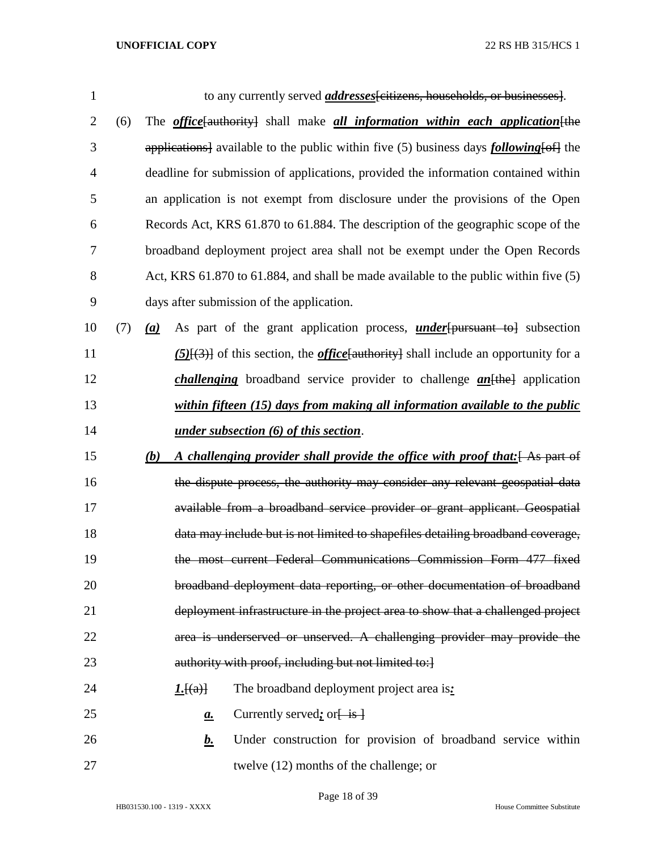| $\mathbf{1}$   |     | to any currently served <i>addresses</i> [citizens, households, or businesses].                   |
|----------------|-----|---------------------------------------------------------------------------------------------------|
| $\overline{2}$ | (6) | The <i>office</i> [authority] shall make <i>all information within each application</i> [the      |
| 3              |     | applications] available to the public within five (5) business days <i>following</i> [of ] the    |
| $\overline{4}$ |     | deadline for submission of applications, provided the information contained within                |
| 5              |     | an application is not exempt from disclosure under the provisions of the Open                     |
| 6              |     | Records Act, KRS 61.870 to 61.884. The description of the geographic scope of the                 |
| 7              |     | broadband deployment project area shall not be exempt under the Open Records                      |
| 8              |     | Act, KRS 61.870 to 61.884, and shall be made available to the public within five (5)              |
| 9              |     | days after submission of the application.                                                         |
| 10             | (7) | As part of the grant application process, <i>under</i> [pursuant to] subsection<br>(a)            |
| 11             |     | $(5)$ [ $(3)$ ] of this section, the <i>office</i> [authority] shall include an opportunity for a |
| 12             |     | <i>challenging</i> broadband service provider to challenge $an[the]$ application                  |
| 13             |     | within fifteen (15) days from making all information available to the public                      |
| 14             |     | under subsection $(6)$ of this section.                                                           |
| 15             |     | A challenging provider shall provide the office with proof that: [As part of<br>(b)               |
| 16             |     | the dispute process, the authority may consider any relevant geospatial data                      |
| 17             |     | available from a broadband service provider or grant applicant. Geospatial                        |
| 18             |     | data may include but is not limited to shapefiles detailing broadband coverage,                   |
| 19             |     | the most current Federal Communications Commission Form 477 fixed                                 |
| 20             |     | broadband deployment data reporting, or other documentation of broadband                          |
| 21             |     | deployment infrastructure in the project area to show that a challenged project                   |
| 22             |     | area is underserved or unserved. A challenging provider may provide the                           |
| 23             |     | authority with proof, including but not limited to:]                                              |
| 24             |     | The broadband deployment project area is:<br>L[(a)]                                               |
| 25             |     | Currently served: or $\frac{1}{1}$ is $\frac{1}{2}$<br>$\mathbf{a}$ .                             |
| 26             |     | $\bm{b}$ .<br>Under construction for provision of broadband service within                        |
| 27             |     | twelve (12) months of the challenge; or                                                           |

Page 18 of 39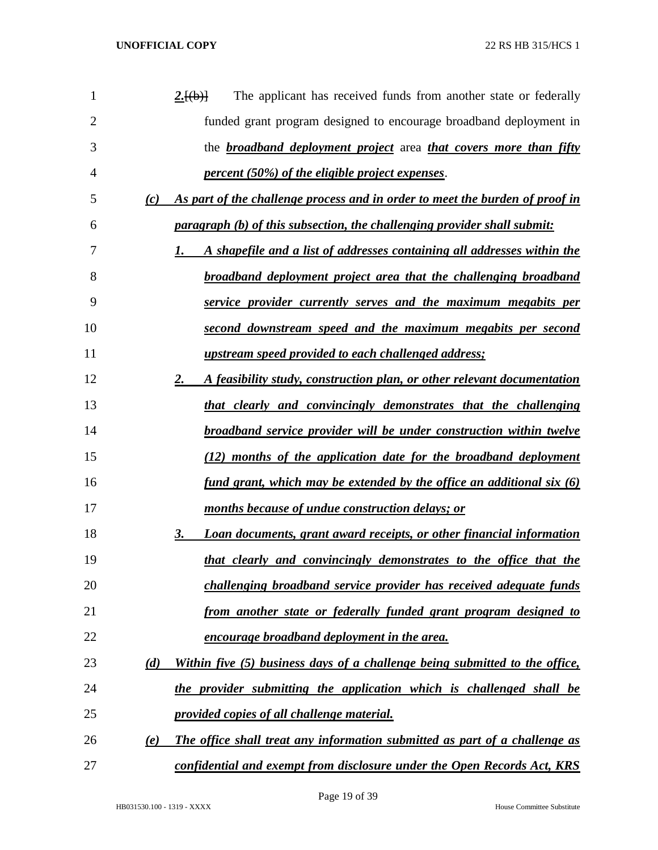| 1  | The applicant has received funds from another state or federally<br>2.[(b)]         |
|----|-------------------------------------------------------------------------------------|
| 2  | funded grant program designed to encourage broadband deployment in                  |
| 3  | the <b>broadband deployment project</b> area <i>that covers more than fifty</i>     |
| 4  | <u>percent (50%) of the eligible project expenses</u> .                             |
| 5  | As part of the challenge process and in order to meet the burden of proof in<br>(c) |
| 6  | <i>paragraph (b) of this subsection, the challenging provider shall submit:</i>     |
| 7  | A shapefile and a list of addresses containing all addresses within the<br>1.       |
| 8  | <u>broadband deployment project area that the challenging broadband</u>             |
| 9  | service provider currently serves and the maximum megabits per                      |
| 10 | second downstream speed and the maximum megabits per second                         |
| 11 | <u>upstream speed provided to each challenged address;</u>                          |
| 12 | A feasibility study, construction plan, or other relevant documentation<br>2.       |
| 13 | that clearly and convincingly demonstrates that the challenging                     |
| 14 | <b>broadband service provider will be under construction within twelve</b>          |
| 15 | (12) months of the application date for the broadband deployment                    |
| 16 | <u>fund grant, which may be extended by the office an additional six (6)</u>        |
| 17 | months because of undue construction delays; or                                     |
| 18 | Loan documents, grant award receipts, or other financial information<br>3.          |
| 19 | that clearly and convincingly demonstrates to the office that the                   |
| 20 | challenging broadband service provider has received adequate funds                  |
| 21 | from another state or federally funded grant program designed to                    |
| 22 | encourage broadband deployment in the area.                                         |
| 23 | Within five (5) business days of a challenge being submitted to the office,<br>(d)  |
| 24 | the provider submitting the application which is challenged shall be                |
| 25 | provided copies of all challenge material.                                          |
| 26 | The office shall treat any information submitted as part of a challenge as<br>(e)   |
| 27 | confidential and exempt from disclosure under the Open Records Act, KRS             |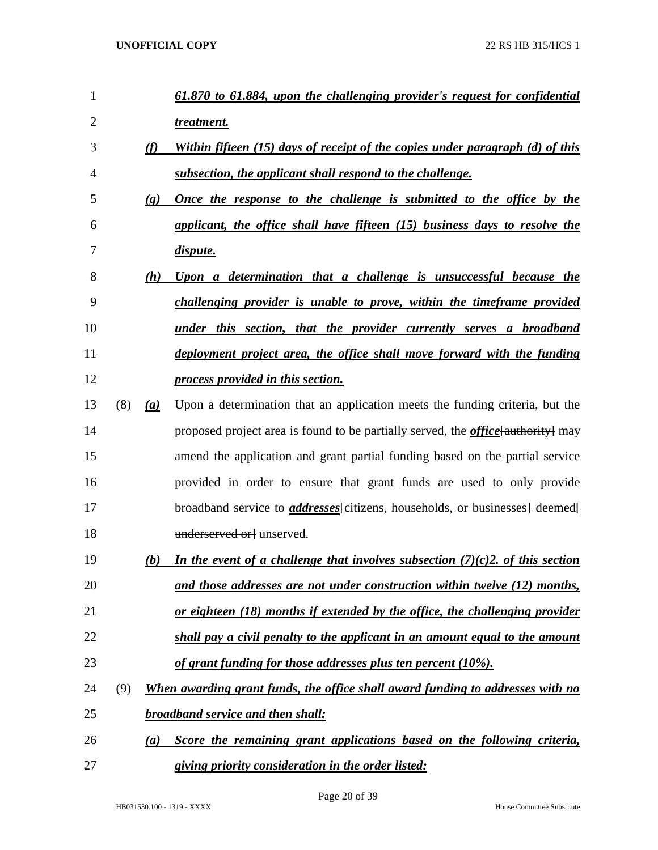| 1              |     |                             | 61.870 to 61.884, upon the challenging provider's request for confidential               |
|----------------|-----|-----------------------------|------------------------------------------------------------------------------------------|
| $\overline{2}$ |     |                             | treatment.                                                                               |
| 3              |     | (f)                         | Within fifteen (15) days of receipt of the copies under paragraph (d) of this            |
| 4              |     |                             | subsection, the applicant shall respond to the challenge.                                |
| 5              |     | $\left( \mathbf{g} \right)$ | <u>Once the response to the challenge is submitted to the office by the</u>              |
| 6              |     |                             | applicant, the office shall have fifteen (15) business days to resolve the               |
| 7              |     |                             | dispute.                                                                                 |
| 8              |     | (h)                         | Upon a determination that a challenge is unsuccessful because the                        |
| 9              |     |                             | challenging provider is unable to prove, within the timeframe provided                   |
| 10             |     |                             | <u>under this section, that the provider currently serves a broadband</u>                |
| 11             |     |                             | deployment project area, the office shall move forward with the funding                  |
| 12             |     |                             | <u>process provided in this section.</u>                                                 |
| 13             | (8) | (a)                         | Upon a determination that an application meets the funding criteria, but the             |
| 14             |     |                             | proposed project area is found to be partially served, the <i>office</i> [authority] may |
| 15             |     |                             | amend the application and grant partial funding based on the partial service             |
| 16             |     |                             | provided in order to ensure that grant funds are used to only provide                    |
| 17             |     |                             | broadband service to <i>addresses</i> feitizens, households, or businesses deemed        |
| 18             |     |                             | underserved or unserved.                                                                 |
| 19             |     | (b)                         | In the event of a challenge that involves subsection $(7)(c)$ 2. of this section         |
| 20             |     |                             | and those addresses are not under construction within twelve (12) months,                |
| 21             |     |                             | <u>or eighteen (18) months if extended by the office, the challenging provider</u>       |
| 22             |     |                             | shall pay a civil penalty to the applicant in an amount equal to the amount              |
| 23             |     |                             | of grant funding for those addresses plus ten percent (10%).                             |
| 24             | (9) |                             | <u>When awarding grant funds, the office shall award funding to addresses with no</u>    |
| 25             |     |                             | <b>broadband service and then shall:</b>                                                 |
| 26             |     | $\left(a\right)$            | Score the remaining grant applications based on the following criteria,                  |
| 27             |     |                             | giving priority consideration in the order listed:                                       |

Page 20 of 39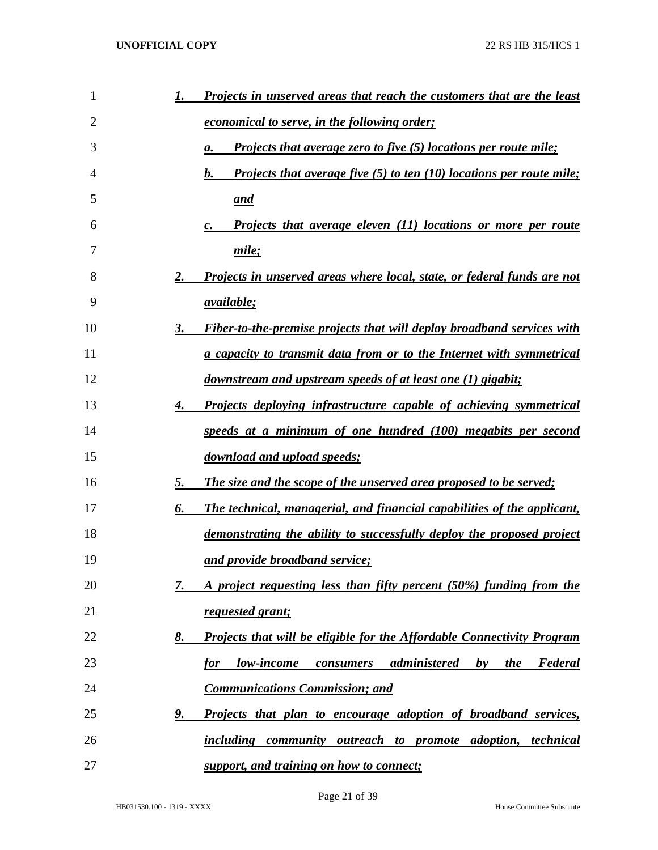| 1  | Projects in unserved areas that reach the customers that are the least                                     |
|----|------------------------------------------------------------------------------------------------------------|
| 2  | <u>economical to serve, in the following order;</u>                                                        |
| 3  | <b>Projects that average zero to five (5) locations per route mile;</b><br>а.                              |
| 4  | <b>Projects that average five (5) to ten (10) locations per route mile;</b><br>b.                          |
| 5  | <u>and</u>                                                                                                 |
| 6  | <b>Projects that average eleven (11) locations or more per route</b>                                       |
| 7  | mile;                                                                                                      |
| 8  | <u>Projects in unserved areas where local, state, or federal funds are not</u><br>2.                       |
| 9  | <i><u>available;</u></i>                                                                                   |
| 10 | <b>Fiber-to-the-premise projects that will deploy broadband services with</b><br>3.                        |
| 11 | <u>a capacity to transmit data from or to the Internet with symmetrical</u>                                |
| 12 | <u>downstream and upstream speeds of at least one (1) gigabit;</u>                                         |
| 13 | <b>Projects deploying infrastructure capable of achieving symmetrical</b><br>4.                            |
| 14 | speeds at a minimum of one hundred (100) megabits per second                                               |
| 15 | download and upload speeds;                                                                                |
| 16 | The size and the scope of the unserved area proposed to be served;<br>5.                                   |
| 17 | The technical, managerial, and financial capabilities of the applicant,<br>6.                              |
| 18 | demonstrating the ability to successfully deploy the proposed project                                      |
| 19 | and provide broadband service;                                                                             |
| 20 | A project requesting less than fifty percent (50%) funding from the<br>7.                                  |
| 21 | requested grant;                                                                                           |
| 22 | <b>Projects that will be eligible for the Affordable Connectivity Program</b><br><u>8.</u>                 |
| 23 | low-income consumers administered<br><b>Federal</b><br><u>for</u><br>$\mathbf{b} \mathbf{v}$<br><i>the</i> |
| 24 | <b>Communications Commission; and</b>                                                                      |
| 25 | <u>Projects that plan to encourage adoption of broadband services,</u><br><u>9. </u>                       |
| 26 | including community outreach to promote adoption, technical                                                |
| 27 | support, and training on how to connect;                                                                   |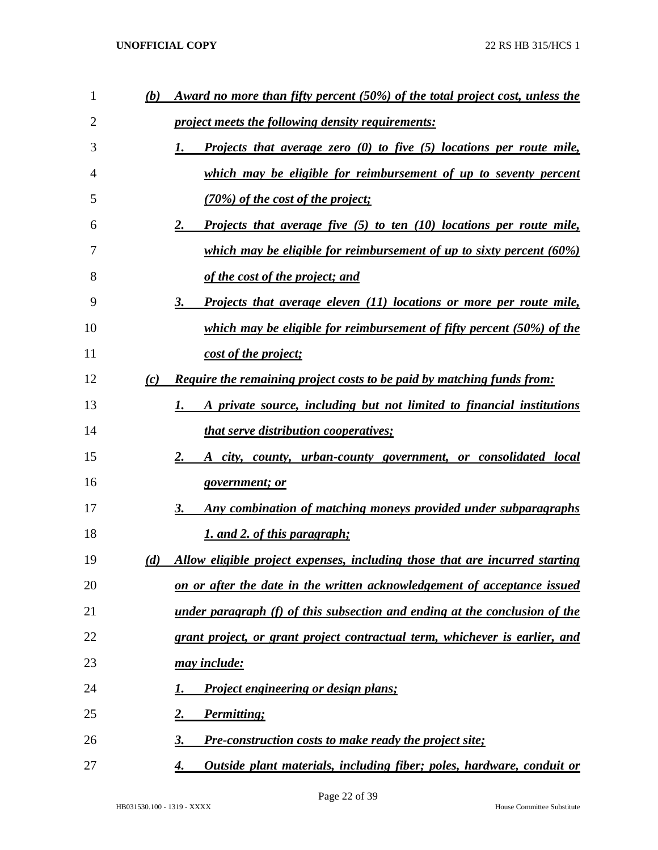| 1  | (b) | <u>Award no more than fifty percent (50%) of the total project cost, unless the</u>   |
|----|-----|---------------------------------------------------------------------------------------|
| 2  |     | <i><u><b>project meets the following density requirements:</b></u></i>                |
| 3  |     | <b>Projects that average zero</b> $(0)$ to five $(5)$ locations per route mile,<br>1. |
| 4  |     | which may be eligible for reimbursement of up to seventy percent                      |
| 5  |     | (70%) of the cost of the project;                                                     |
| 6  |     | 2.<br><b>Projects that average five (5) to ten (10) locations per route mile,</b>     |
| 7  |     | which may be eligible for reimbursement of up to sixty percent (60%)                  |
| 8  |     | <u>of the cost of the project; and</u>                                                |
| 9  |     | 3.<br><b>Projects that average eleven (11) locations or more per route mile,</b>      |
| 10 |     | which may be eligible for reimbursement of fifty percent (50%) of the                 |
| 11 |     | cost of the project;                                                                  |
| 12 | (c) | <b>Require the remaining project costs to be paid by matching funds from:</b>         |
| 13 |     | A private source, including but not limited to financial institutions<br>1.           |
| 14 |     | <i>that serve distribution cooperatives;</i>                                          |
| 15 |     | 2.<br>A city, county, urban-county government, or consolidated local                  |
| 16 |     | government; or                                                                        |
| 17 |     | Any combination of matching moneys provided under subparagraphs<br>3.                 |
| 18 |     | 1. and 2. of this paragraph;                                                          |
| 19 | (d) | Allow eligible project expenses, including those that are incurred starting           |
| 20 |     | on or after the date in the written acknowledgement of acceptance issued              |
| 21 |     | <u>under paragraph (f) of this subsection and ending at the conclusion of the</u>     |
| 22 |     | grant project, or grant project contractual term, whichever is earlier, and           |
| 23 |     | <u>may include:</u>                                                                   |
| 24 |     | Project engineering or design plans;<br>1.                                            |
| 25 |     | <u>2.</u><br><b>Permitting</b> ;                                                      |
| 26 |     | <b>Pre-construction costs to make ready the project site;</b><br>3.                   |
| 27 |     | Outside plant materials, including fiber; poles, hardware, conduit or<br>4.           |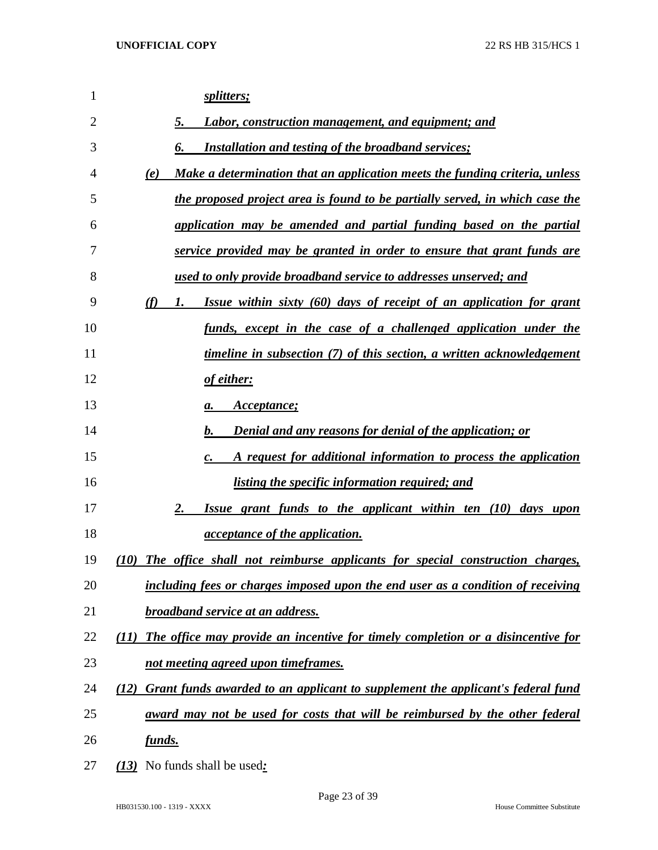| 1  | <u>splitters;</u>                                                                       |
|----|-----------------------------------------------------------------------------------------|
| 2  | Labor, construction management, and equipment; and<br>5.                                |
| 3  | <b>Installation and testing of the broadband services;</b><br>6.                        |
| 4  | Make a determination that an application meets the funding criteria, unless<br>(e)      |
| 5  | the proposed project area is found to be partially served, in which case the            |
| 6  | application may be amended and partial funding based on the partial                     |
| 7  | service provided may be granted in order to ensure that grant funds are                 |
| 8  | <u>used to only provide broadband service to addresses unserved; and</u>                |
| 9  | Issue within sixty (60) days of receipt of an application for grant<br>(f)<br>1.        |
| 10 | <u>funds, except in the case of a challenged application under the</u>                  |
| 11 | <u>timeline in subsection (7) of this section, a written acknowledgement</u>            |
| 12 | <u>of either:</u>                                                                       |
| 13 | <i>Acceptance</i> ;<br>а.                                                               |
| 14 | <b>Denial and any reasons for denial of the application; or</b><br>b.                   |
| 15 | A request for additional information to process the application<br>c.                   |
| 16 | <i>listing the specific information required; and</i>                                   |
| 17 | Issue grant funds to the applicant within ten (10) days upon<br>2.                      |
| 18 | <i>acceptance of the application.</i>                                                   |
| 19 | (10) The office shall not reimburse applicants for special construction charges,        |
| 20 | including fees or charges imposed upon the end user as a condition of receiving         |
| 21 | <b>broadband service at an address.</b>                                                 |
| 22 | The office may provide an incentive for timely completion or a disincentive for<br>(11) |
| 23 | not meeting agreed upon timeframes.                                                     |
| 24 | (12) Grant funds awarded to an applicant to supplement the applicant's federal fund     |
| 25 | award may not be used for costs that will be reimbursed by the other federal            |
| 26 | <u>funds.</u>                                                                           |
| 27 | (13) No funds shall be used:                                                            |

HB031530.100 - 1319 - XXXX House Committee Substitute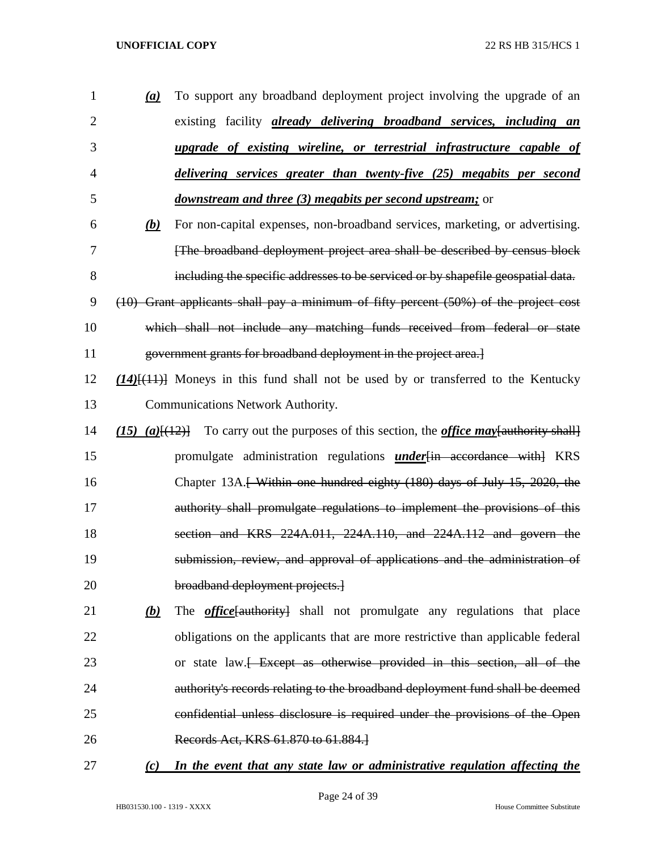- *(a)* To support any broadband deployment project involving the upgrade of an existing facility *already delivering broadband services, including an upgrade of existing wireline, or terrestrial infrastructure capable of delivering services greater than twenty-five (25) megabits per second downstream and three (3) megabits per second upstream;* or *(b)* For non-capital expenses, non-broadband services, marketing, or advertising. [The broadband deployment project area shall be described by census block including the specific addresses to be serviced or by shapefile geospatial data. (10) Grant applicants shall pay a minimum of fifty percent (50%) of the project cost which shall not include any matching funds received from federal or state government grants for broadband deployment in the project area.] *(14)*[(11)] Moneys in this fund shall not be used by or transferred to the Kentucky Communications Network Authority. *(15) (a)*[(12)] To carry out the purposes of this section, the *office may*[authority shall] promulgate administration regulations *under*[in accordance with] KRS 16 Chapter 13A.<del>[ Within one hundred eighty (180) days of July 15, 2020, the</del> 17 authority shall promulgate regulations to implement the provisions of this section and KRS 224A.011, 224A.110, and 224A.112 and govern the submission, review, and approval of applications and the administration of broadband deployment projects.] *(b)* The *office*[authority] shall not promulgate any regulations that place obligations on the applicants that are more restrictive than applicable federal 23 or state law.<del> Except as otherwise provided in this section, all of the</del> authority's records relating to the broadband deployment fund shall be deemed confidential unless disclosure is required under the provisions of the Open Records Act, KRS 61.870 to 61.884.] *(c) In the event that any state law or administrative regulation affecting the* 
	- HB031530.100 1319 XXXX House Committee Substitute

Page 24 of 39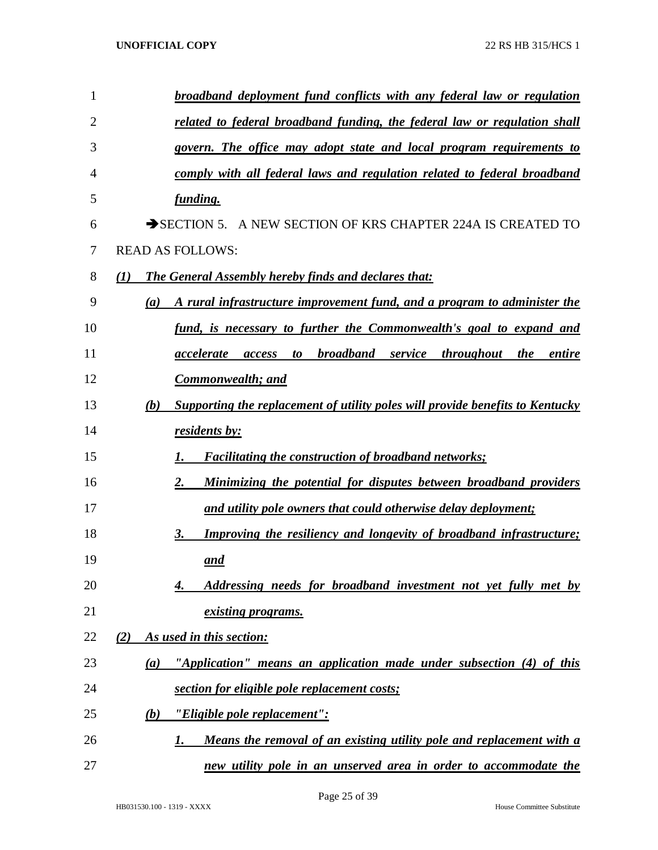| 1  | broadband deployment fund conflicts with any federal law or regulation               |
|----|--------------------------------------------------------------------------------------|
| 2  | related to federal broadband funding, the federal law or regulation shall            |
| 3  | govern. The office may adopt state and local program requirements to                 |
| 4  | comply with all federal laws and regulation related to federal broadband             |
| 5  | funding.                                                                             |
| 6  | SECTION 5. A NEW SECTION OF KRS CHAPTER 224A IS CREATED TO                           |
| 7  | <b>READ AS FOLLOWS:</b>                                                              |
| 8  | The General Assembly hereby finds and declares that:<br>(I)                          |
| 9  | A rural infrastructure improvement fund, and a program to administer the<br>(a)      |
| 10 | fund, is necessary to further the Commonwealth's goal to expand and                  |
| 11 | to broadband service throughout the<br>entire<br>accelerate<br>access                |
| 12 | <b>Commonwealth; and</b>                                                             |
| 13 | Supporting the replacement of utility poles will provide benefits to Kentucky<br>(b) |
| 14 | residents by:                                                                        |
| 15 | <b>Facilitating the construction of broadband networks;</b><br>1.                    |
| 16 | Minimizing the potential for disputes between broadband providers<br>2.              |
| 17 | and utility pole owners that could otherwise delay deployment;                       |
| 18 | <b>Improving the resiliency and longevity of broadband infrastructure;</b><br>3.     |
| 19 | and                                                                                  |
| 20 | Addressing needs for broadband investment not yet fully met by<br>4.                 |
| 21 | existing programs.                                                                   |
| 22 | As used in this section:<br>(2)                                                      |
| 23 | "Application" means an application made under subsection (4) of this<br>(a)          |
| 24 | section for eligible pole replacement costs;                                         |
| 25 | "Eligible pole replacement":<br>(b)                                                  |
| 26 | Means the removal of an existing utility pole and replacement with a<br>1.           |
| 27 | new utility pole in an unserved area in order to accommodate the                     |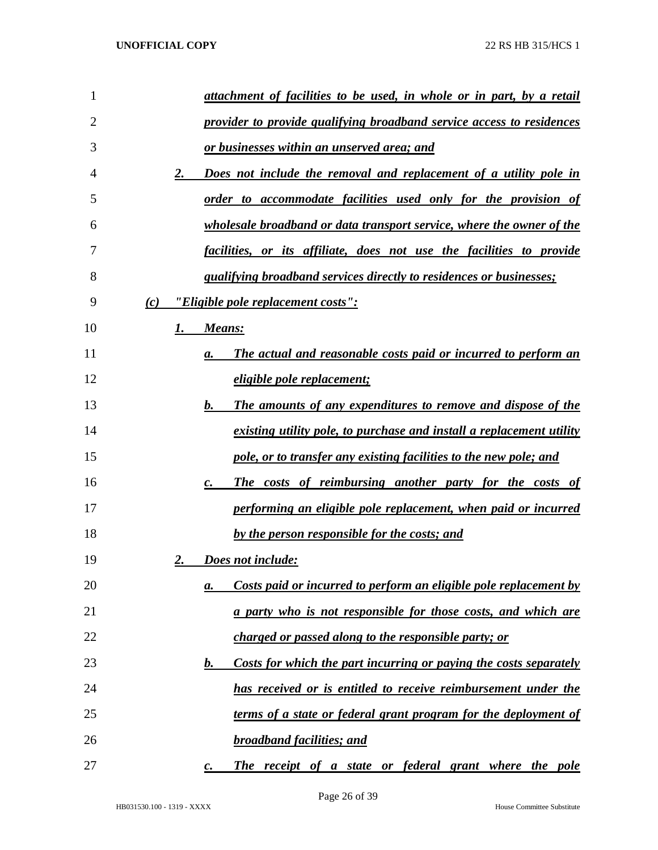| 1  | attachment of facilities to be used, in whole or in part, by a retail       |
|----|-----------------------------------------------------------------------------|
| 2  | provider to provide qualifying broadband service access to residences       |
| 3  | or businesses within an unserved area; and                                  |
| 4  | Does not include the removal and replacement of a utility pole in<br>2.     |
| 5  | order to accommodate facilities used only for the provision of              |
| 6  | wholesale broadband or data transport service, where the owner of the       |
| 7  | <u>facilities, or its affiliate, does not use the facilities to provide</u> |
| 8  | <i>qualifying broadband services directly to residences or businesses;</i>  |
| 9  | "Eligible pole replacement costs":<br>(c)                                   |
| 10 | 1.<br><b>Means:</b>                                                         |
| 11 | The actual and reasonable costs paid or incurred to perform an<br>a.        |
| 12 | eligible pole replacement;                                                  |
| 13 | The amounts of any expenditures to remove and dispose of the<br>b.          |
| 14 | existing utility pole, to purchase and install a replacement utility        |
| 15 | pole, or to transfer any existing facilities to the new pole; and           |
| 16 | The costs of reimbursing another party for the costs of<br>$\mathbf{c}$ .   |
| 17 | performing an eligible pole replacement, when paid or incurred              |
| 18 | by the person responsible for the costs; and                                |
| 19 | Does not include:<br>2.                                                     |
| 20 | Costs paid or incurred to perform an eligible pole replacement by<br>а.     |
| 21 | <u>a party who is not responsible for those costs, and which are</u>        |
| 22 | charged or passed along to the responsible party; or                        |
| 23 | Costs for which the part incurring or paying the costs separately<br>b.     |
| 24 | has received or is entitled to receive reimbursement under the              |
| 25 | terms of a state or federal grant program for the deployment of             |
| 26 | <b>broadband facilities; and</b>                                            |
| 27 | The receipt of a state or federal grant where the pole                      |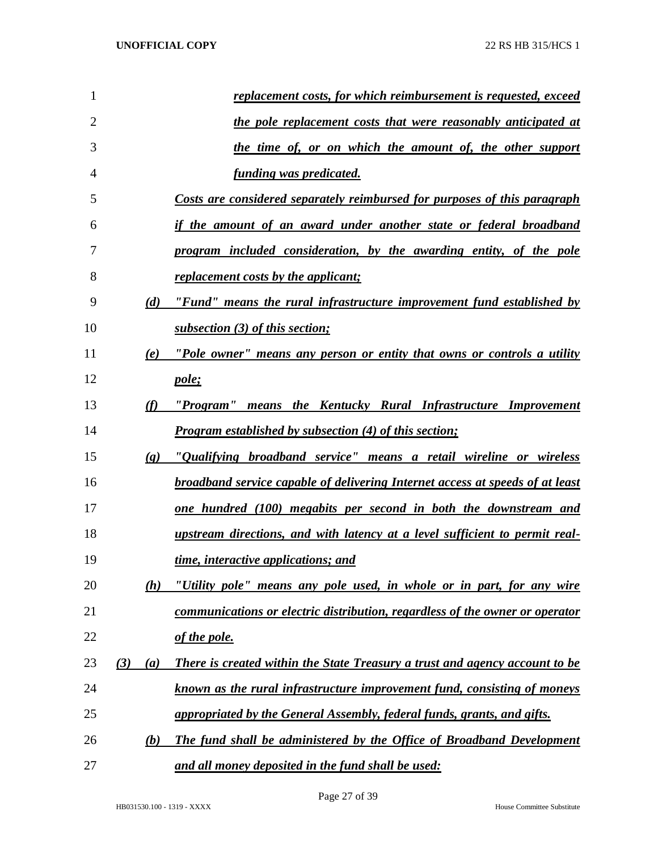| $\mathbf{1}$   |     |                             | replacement costs, for which reimbursement is requested, exceed                      |
|----------------|-----|-----------------------------|--------------------------------------------------------------------------------------|
| $\overline{2}$ |     |                             | <u>the pole replacement costs that were reasonably anticipated at</u>                |
| 3              |     |                             | <u>the time of, or on which the amount of, the other support</u>                     |
| 4              |     |                             | <u>funding was predicated.</u>                                                       |
| 5              |     |                             | Costs are considered separately reimbursed for purposes of this paragraph            |
| 6              |     |                             | if the amount of an award under another state or federal broadband                   |
| 7              |     |                             | program included consideration, by the awarding entity, of the pole                  |
| 8              |     |                             | <u>replacement costs by the applicant;</u>                                           |
| 9              |     | (d)                         | "Fund" means the rural infrastructure improvement fund established by                |
| 10             |     |                             | subsection (3) of this section;                                                      |
| 11             |     | (e)                         | "Pole owner" means any person or entity that owns or controls a utility              |
| 12             |     |                             | pole;                                                                                |
| 13             |     | (f)                         | "Program" means the Kentucky Rural Infrastructure Improvement                        |
| 14             |     |                             | <b>Program established by subsection (4) of this section;</b>                        |
| 15             |     | $\left( \mathbf{g} \right)$ | "Qualifying broadband service" means a retail wireline or wireless                   |
| 16             |     |                             | <b>broadband service capable of delivering Internet access at speeds of at least</b> |
| 17             |     |                             | <u>one hundred (100) megabits per second in both the downstream and</u>              |
| 18             |     |                             | upstream directions, and with latency at a level sufficient to permit real-          |
| 19             |     |                             | time, interactive applications; and                                                  |
| 20             |     | (h)                         | "Utility pole" means any pole used, in whole or in part, for any wire                |
| 21             |     |                             | communications or electric distribution, regardless of the owner or operator         |
| 22             |     |                             | of the pole.                                                                         |
| 23             | (3) | (a)                         | There is created within the State Treasury a trust and agency account to be          |
| 24             |     |                             | known as the rural infrastructure improvement fund, consisting of moneys             |
| 25             |     |                             | appropriated by the General Assembly, federal funds, grants, and gifts.              |
| 26             |     | (b)                         | The fund shall be administered by the Office of Broadband Development                |
| 27             |     |                             | and all money deposited in the fund shall be used:                                   |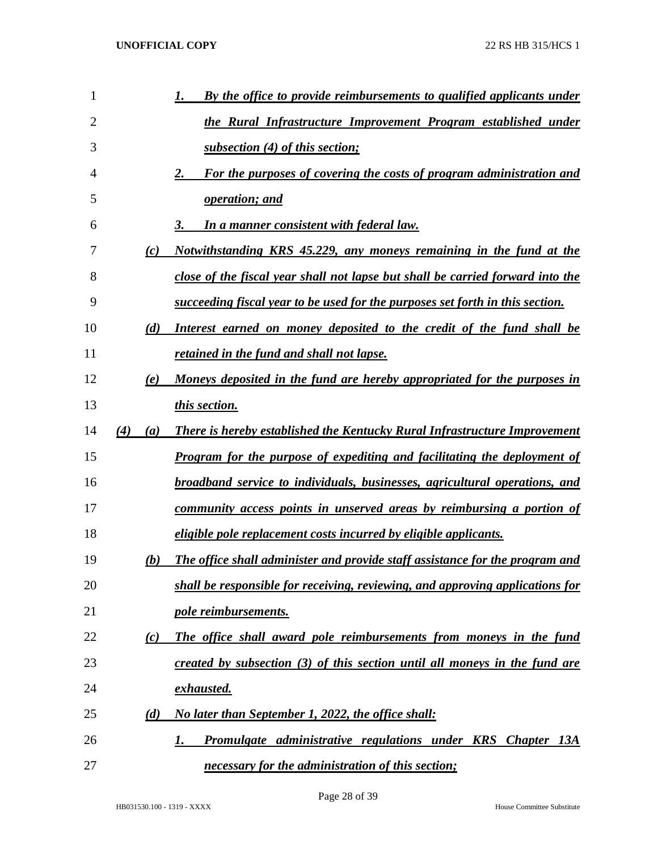| 1              |            | By the office to provide reimbursements to qualified applicants under<br>1.       |
|----------------|------------|-----------------------------------------------------------------------------------|
| $\overline{2}$ |            | the Rural Infrastructure Improvement Program established under                    |
| 3              |            | subsection (4) of this section;                                                   |
| 4              |            | For the purposes of covering the costs of program administration and<br>2.        |
| 5              |            | operation; and                                                                    |
| 6              |            | <b>In a manner consistent with federal law.</b><br>3.                             |
| 7              | (c)        | Notwithstanding KRS 45.229, any moneys remaining in the fund at the               |
| 8              |            | close of the fiscal year shall not lapse but shall be carried forward into the    |
| 9              |            | succeeding fiscal year to be used for the purposes set forth in this section.     |
| 10             | (d)        | Interest earned on money deposited to the credit of the fund shall be             |
| 11             |            | retained in the fund and shall not lapse.                                         |
| 12             | (e)        | Moneys deposited in the fund are hereby appropriated for the purposes in          |
| 13             |            | this section.                                                                     |
| 14             | (4)<br>(a) | <b>There is hereby established the Kentucky Rural Infrastructure Improvement</b>  |
| 15             |            | <b>Program for the purpose of expediting and facilitating the deployment of</b>   |
| 16             |            | <b>broadband service to individuals, businesses, agricultural operations, and</b> |
| 17             |            | community access points in unserved areas by reimbursing a portion of             |
| 18             |            | <i>eligible pole replacement costs incurred by eligible applicants.</i>           |
| 19             | (b)        | The office shall administer and provide staff assistance for the program and      |
| 20             |            | shall be responsible for receiving, reviewing, and approving applications for     |
| 21             |            | pole reimbursements.                                                              |
| 22             | (c)        | The office shall award pole reimbursements from moneys in the fund                |
| 23             |            | created by subsection (3) of this section until all moneys in the fund are        |
| 24             |            | <u>exhausted.</u>                                                                 |
| 25             | (d)        | No later than September 1, 2022, the office shall:                                |
| 26             |            | Promulgate administrative regulations under KRS Chapter 13A<br>1.                 |
| 27             |            | necessary for the administration of this section;                                 |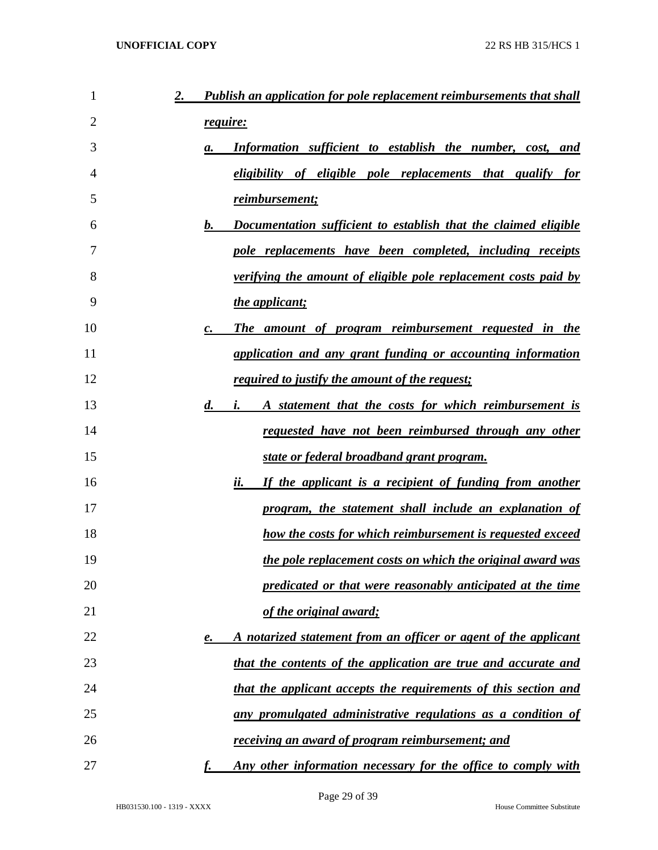| 1<br>2. | <b>Publish an application for pole replacement reimbursements that shall</b>     |
|---------|----------------------------------------------------------------------------------|
| 2       | require:                                                                         |
| 3       | Information sufficient to establish the number, cost, and<br>а.                  |
| 4       | eligibility of eligible pole replacements that qualify for                       |
| 5       | reimbursement;                                                                   |
| 6       | Documentation sufficient to establish that the claimed eligible<br>b.            |
| 7       | pole replacements have been completed, including receipts                        |
| 8       | <i>verifying the amount of eligible pole replacement costs paid by</i>           |
| 9       | the applicant;                                                                   |
| 10      | The amount of program reimbursement requested in the<br>$\boldsymbol{c}$ .       |
| 11      | application and any grant funding or accounting information                      |
| 12      | <u>required to justify the amount of the request;</u>                            |
| 13      | $\boldsymbol{d.}$<br>A statement that the costs for which reimbursement is<br>i. |
| 14      | requested have not been reimbursed through any other                             |
| 15      | state or federal broadband grant program.                                        |
| 16      | If the applicant is a recipient of funding from another<br>ii.                   |
| 17      | program, the statement shall include an explanation of                           |
| 18      | how the costs for which reimbursement is requested exceed                        |
| 19      | the pole replacement costs on which the original award was                       |
| 20      | predicated or that were reasonably anticipated at the time                       |
| 21      | of the original award;                                                           |
| 22      | A notarized statement from an officer or agent of the applicant<br>e.            |
| 23      | that the contents of the application are true and accurate and                   |
| 24      | that the applicant accepts the requirements of this section and                  |
| 25      | any promulgated administrative regulations as a condition of                     |
| 26      | receiving an award of program reimbursement; and                                 |
| 27      | Any other information necessary for the office to comply with                    |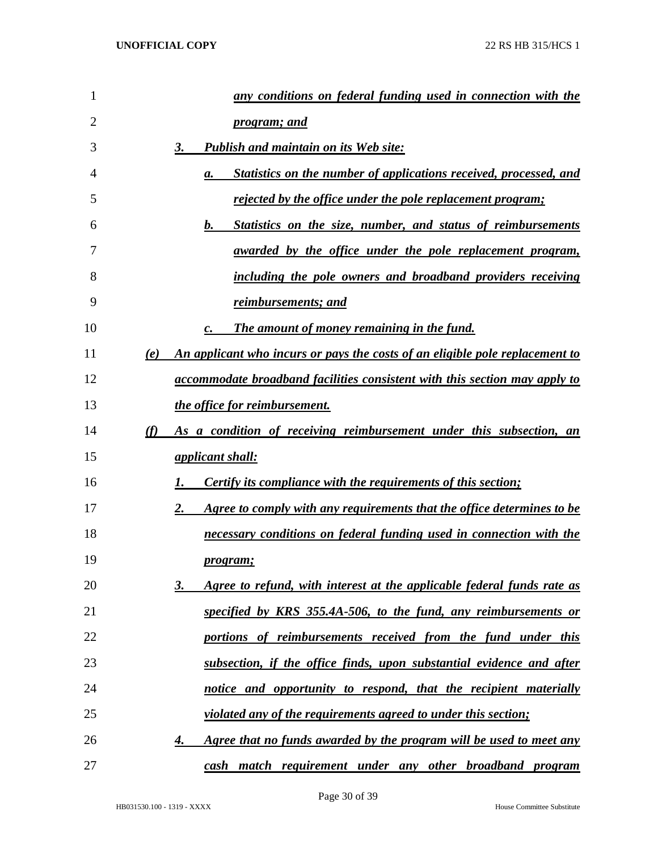| 1  | any conditions on federal funding used in connection with the                           |
|----|-----------------------------------------------------------------------------------------|
| 2  | <i>program; and</i>                                                                     |
| 3  | <b>Publish and maintain on its Web site:</b><br>3.                                      |
| 4  | <b>Statistics on the number of applications received, processed, and</b><br>a.          |
| 5  | <u>rejected by the office under the pole replacement program;</u>                       |
| 6  | b.<br><b>Statistics on the size, number, and status of reimbursements</b>               |
| 7  | <u>awarded by the office under the pole replacement program,</u>                        |
| 8  | including the pole owners and broadband providers receiving                             |
| 9  | <u>reimbursements; and</u>                                                              |
| 10 | The amount of money remaining in the fund.                                              |
| 11 | An applicant who incurs or pays the costs of an eligible pole replacement to<br>(e)     |
| 12 | accommodate broadband facilities consistent with this section may apply to              |
| 13 | the office for reimbursement.                                                           |
| 14 | As a condition of receiving reimbursement under this subsection, an<br>(f)              |
| 15 | <i><u>applicant shall:</u></i>                                                          |
| 16 | <b>Certify its compliance with the requirements of this section;</b>                    |
| 17 | Agree to comply with any requirements that the office determines to be<br>2.            |
| 18 | necessary conditions on federal funding used in connection with the                     |
| 19 | <i>program;</i>                                                                         |
| 20 | Agree to refund, with interest at the applicable federal funds rate as<br><u>3.</u>     |
| 21 | specified by KRS 355.4A-506, to the fund, any reimbursements or                         |
| 22 | portions of reimbursements received from the fund under this                            |
| 23 | subsection, if the office finds, upon substantial evidence and after                    |
| 24 | notice and opportunity to respond, that the recipient materially                        |
| 25 | violated any of the requirements agreed to under this section;                          |
| 26 | <u>Agree that no funds awarded by the program will be used to meet any</u><br><u>4.</u> |
| 27 | cash match requirement under any other broadband program                                |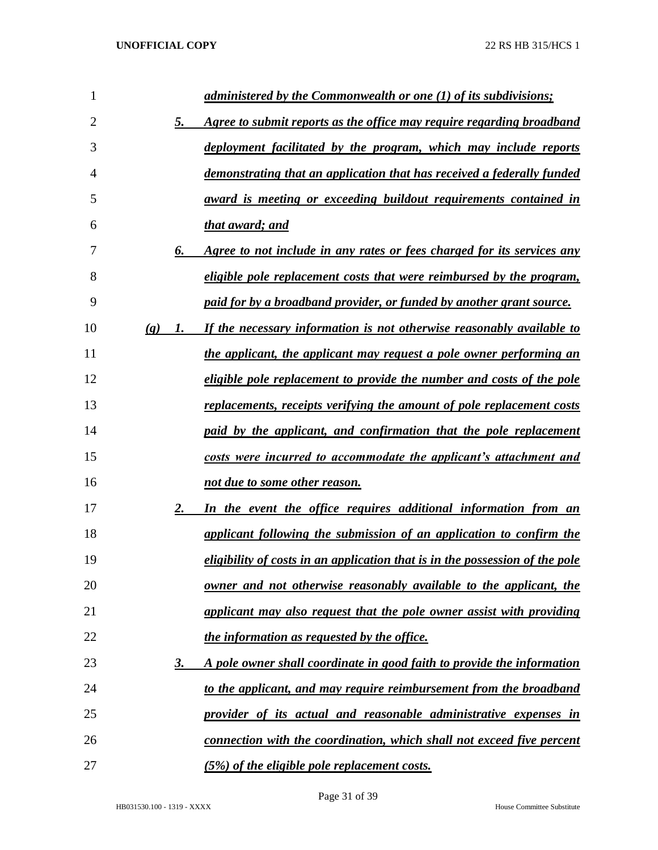| 1  |                             |                | administered by the Commonwealth or one (1) of its subdivisions;             |
|----|-----------------------------|----------------|------------------------------------------------------------------------------|
| 2  |                             | 5.             | Agree to submit reports as the office may require regarding broadband        |
| 3  |                             |                | deployment facilitated by the program, which may include reports             |
| 4  |                             |                | demonstrating that an application that has received a federally funded       |
| 5  |                             |                | <u>award is meeting or exceeding buildout requirements contained in</u>      |
| 6  |                             |                | that award; and                                                              |
| 7  |                             | 6.             | Agree to not include in any rates or fees charged for its services any       |
| 8  |                             |                | <i>eligible pole replacement costs that were reimbursed by the program,</i>  |
| 9  |                             |                | paid for by a broadband provider, or funded by another grant source.         |
| 10 | $\left( \mathbf{g} \right)$ | $\mathbf{I}$ . | If the necessary information is not otherwise reasonably available to        |
| 11 |                             |                | the applicant, the applicant may request a pole owner performing an          |
| 12 |                             |                | eligible pole replacement to provide the number and costs of the pole        |
| 13 |                             |                | replacements, receipts verifying the amount of pole replacement costs        |
| 14 |                             |                | paid by the applicant, and confirmation that the pole replacement            |
| 15 |                             |                | costs were incurred to accommodate the applicant's attachment and            |
| 16 |                             |                | not due to some other reason.                                                |
| 17 |                             | 2.             | In the event the office requires additional information from an              |
| 18 |                             |                | applicant following the submission of an application to confirm the          |
| 19 |                             |                | eligibility of costs in an application that is in the possession of the pole |
| 20 |                             |                | <u>owner and not otherwise reasonably available to the applicant, the</u>    |
| 21 |                             |                | applicant may also request that the pole owner assist with providing         |
| 22 |                             |                | the information as requested by the office.                                  |
| 23 |                             | <u>3.</u>      | A pole owner shall coordinate in good faith to provide the information       |
| 24 |                             |                | to the applicant, and may require reimbursement from the broadband           |
| 25 |                             |                | provider of its actual and reasonable administrative expenses in             |
| 26 |                             |                | connection with the coordination, which shall not exceed five percent        |
| 27 |                             |                | (5%) of the eligible pole replacement costs.                                 |

Page 31 of 39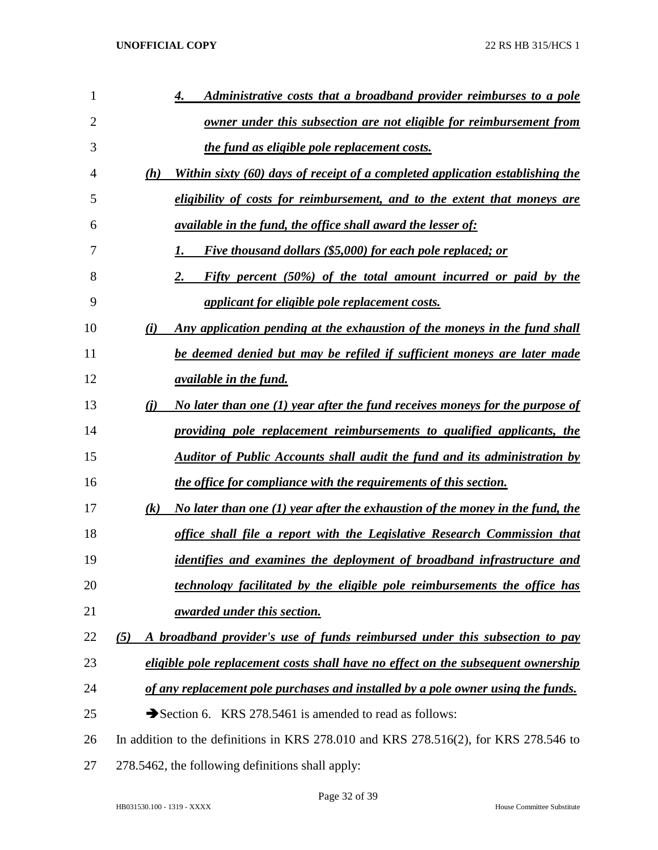| 1              | Administrative costs that a broadband provider reimburses to a pole                  |
|----------------|--------------------------------------------------------------------------------------|
| $\overline{2}$ | owner under this subsection are not eligible for reimbursement from                  |
| 3              | the fund as eligible pole replacement costs.                                         |
| 4              | Within sixty (60) days of receipt of a completed application establishing the<br>(h) |
| 5              | eligibility of costs for reimbursement, and to the extent that moneys are            |
| 6              | <i><u>available in the fund, the office shall award the lesser of:</u></i>           |
| 7              | <i>Five thousand dollars (\$5,000) for each pole replaced; or</i>                    |
| 8              | Fifty percent (50%) of the total amount incurred or paid by the                      |
| 9              | applicant for eligible pole replacement costs.                                       |
| 10             | Any application pending at the exhaustion of the moneys in the fund shall<br>(i)     |
| 11             | be deemed denied but may be refiled if sufficient moneys are later made              |
| 12             | <i><u>available in the fund.</u></i>                                                 |
| 13             | No later than one (1) year after the fund receives moneys for the purpose of<br>(i)  |
| 14             | providing pole replacement reimbursements to qualified applicants, the               |
| 15             | <b>Auditor of Public Accounts shall audit the fund and its administration by</b>     |
| 16             | the office for compliance with the requirements of this section.                     |
| 17             | No later than one (1) year after the exhaustion of the money in the fund, the<br>(k) |
| 18             | office shall file a report with the Legislative Research Commission that             |
| 19             | identifies and examines the deployment of broadband infrastructure and               |
| 20             | technology facilitated by the eligible pole reimbursements the office has            |
| 21             | <i>awarded under this section.</i>                                                   |
| 22             | A broadband provider's use of funds reimbursed under this subsection to pay<br>(5)   |
| 23             | eligible pole replacement costs shall have no effect on the subsequent ownership     |
| 24             | of any replacement pole purchases and installed by a pole owner using the funds.     |
| 25             | Section 6. KRS 278.5461 is amended to read as follows:                               |
| 26             | In addition to the definitions in KRS 278.010 and KRS 278.516(2), for KRS 278.546 to |
| 27             | 278.5462, the following definitions shall apply:                                     |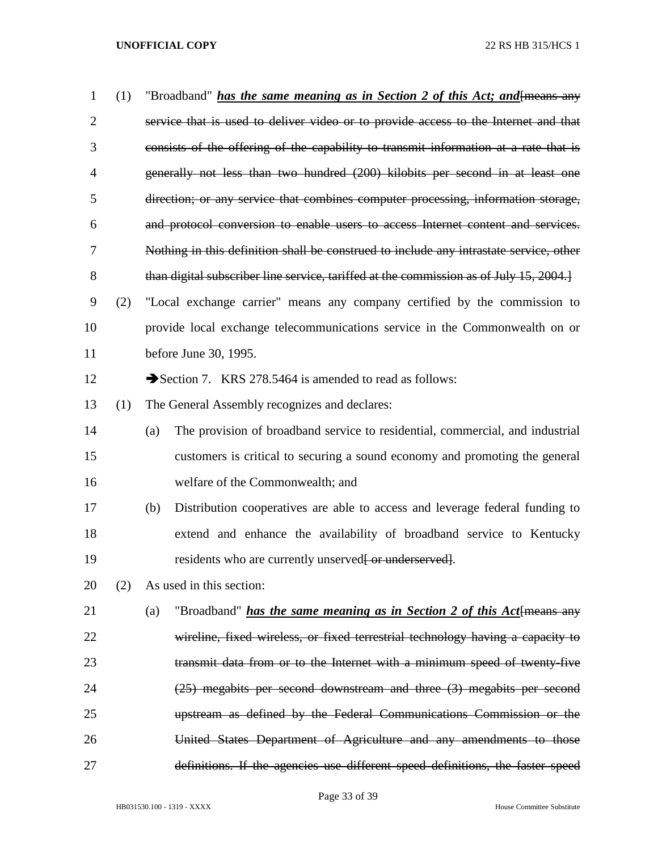| 1              | (1) | "Broadband" <i>has the same meaning as in Section 2 of this Act; and</i> [means any    |
|----------------|-----|----------------------------------------------------------------------------------------|
| $\overline{2}$ |     | service that is used to deliver video or to provide access to the Internet and that    |
| 3              |     | consists of the offering of the capability to transmit information at a rate that is   |
| 4              |     | generally not less than two hundred (200) kilobits per second in at least one          |
| 5              |     | direction; or any service that combines computer processing, information storage,      |
| 6              |     | and protocol conversion to enable users to access Internet content and services.       |
| 7              |     | Nothing in this definition shall be construed to include any intrastate service, other |
| 8              |     | than digital subscriber line service, tariffed at the commission as of July 15, 2004.  |
| 9              | (2) | "Local exchange carrier" means any company certified by the commission to              |
| 10             |     | provide local exchange telecommunications service in the Commonwealth on or            |
| 11             |     | before June 30, 1995.                                                                  |
| 12             |     | Section 7. KRS 278.5464 is amended to read as follows:                                 |
| 13             | (1) | The General Assembly recognizes and declares:                                          |
| 14             |     | The provision of broadband service to residential, commercial, and industrial<br>(a)   |
| 15             |     | customers is critical to securing a sound economy and promoting the general            |
| 16             |     | welfare of the Commonwealth; and                                                       |
| 17             |     | Distribution cooperatives are able to access and leverage federal funding to<br>(b)    |
| 18             |     | extend and enhance the availability of broadband service to Kentucky                   |
| 19             |     | residents who are currently unserved or underserved.                                   |
| 20             | (2) | As used in this section:                                                               |
| 21             |     | "Broadband" <i>has the same meaning as in Section 2 of this Act</i> {means any<br>(a)  |
| 22             |     | wireline, fixed wireless, or fixed terrestrial technology having a capacity to         |
| 23             |     | transmit data from or to the Internet with a minimum speed of twenty-five              |
| 24             |     | (25) megabits per second downstream and three (3) megabits per second                  |
| 25             |     | upstream as defined by the Federal Communications Commission or the                    |
| 26             |     | United States Department of Agriculture and any amendments to those                    |
| 27             |     | definitions. If the agencies use different speed definitions, the faster speed         |

Page 33 of 39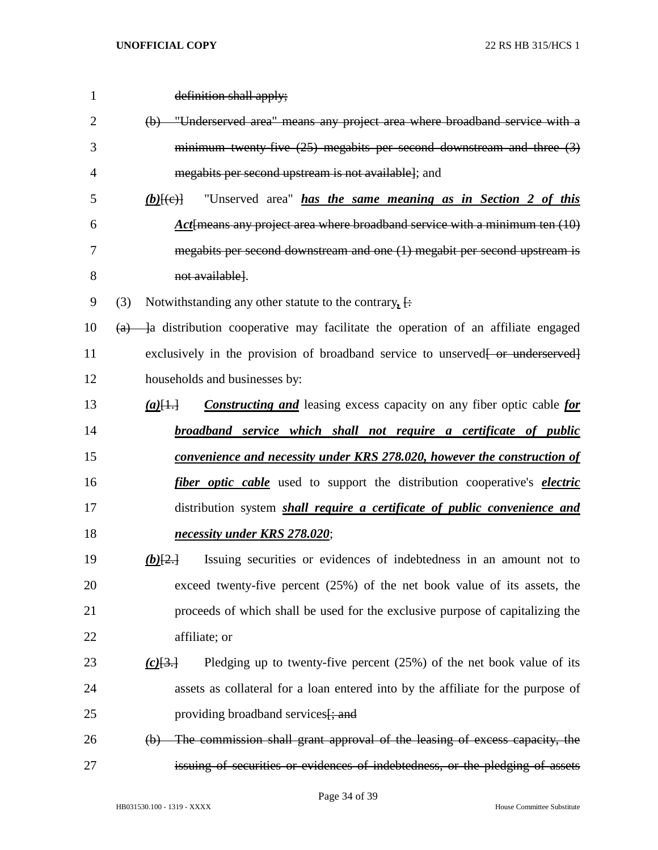| $\mathbf{1}$   | definition shall apply;                                                                                               |
|----------------|-----------------------------------------------------------------------------------------------------------------------|
| $\overline{2}$ | "Underserved area" means any project area where broadband service with a<br>(b)                                       |
| 3              | minimum twenty five $(25)$ megabits per second downstream and three $(3)$                                             |
| 4              | megabits per second upstream is not available]; and                                                                   |
| 5              | "Unserved area" <i>has the same meaning as in Section 2 of this</i><br>$(b)$ $\overline{+e}$                          |
| 6              | Act means any project area where broadband service with a minimum ten $(10)$                                          |
| 7              | megabits per second downstream and one (1) megabit per second upstream is                                             |
| 8              | not available].                                                                                                       |
| 9              | (3)<br>Notwithstanding any other statute to the contrary, $\left\{\cdot\right\}$                                      |
| 10             | a distribution cooperative may facilitate the operation of an affiliate engaged<br>$\left( a\right)$                  |
| 11             | exclusively in the provision of broadband service to unserved [ or underserved]                                       |
| 12             | households and businesses by:                                                                                         |
| 13             | <b>Constructing and</b> leasing excess capacity on any fiber optic cable for<br>$(a)$ $[$ $\frac{1}{1}$ $\frac{1}{1}$ |
| 14             | broadband service which shall not require a certificate of public                                                     |
| 15             | <u>convenience and necessity under KRS 278.020, however the construction of</u>                                       |
| 16             | <i>fiber optic cable</i> used to support the distribution cooperative's <i>electric</i>                               |
| 17             | distribution system <i>shall require a certificate of public convenience and</i>                                      |
| 18             | necessity under KRS 278.020;                                                                                          |
| 19             | Issuing securities or evidences of indebtedness in an amount not to<br>$(b)$ $\left\{2.1\right\}$                     |
| 20             | exceed twenty-five percent $(25%)$ of the net book value of its assets, the                                           |
| 21             | proceeds of which shall be used for the exclusive purpose of capitalizing the                                         |
| 22             | affiliate; or                                                                                                         |
| 23             | Pledging up to twenty-five percent $(25%)$ of the net book value of its<br>(c)[3]                                     |
| 24             | assets as collateral for a loan entered into by the affiliate for the purpose of                                      |
| 25             | providing broadband services [; and                                                                                   |
| 26             | The commission shall grant approval of the leasing of excess capacity, the<br>$\Theta$                                |
| 27             | issuing of securities or evidences of indebtedness, or the pledging of assets                                         |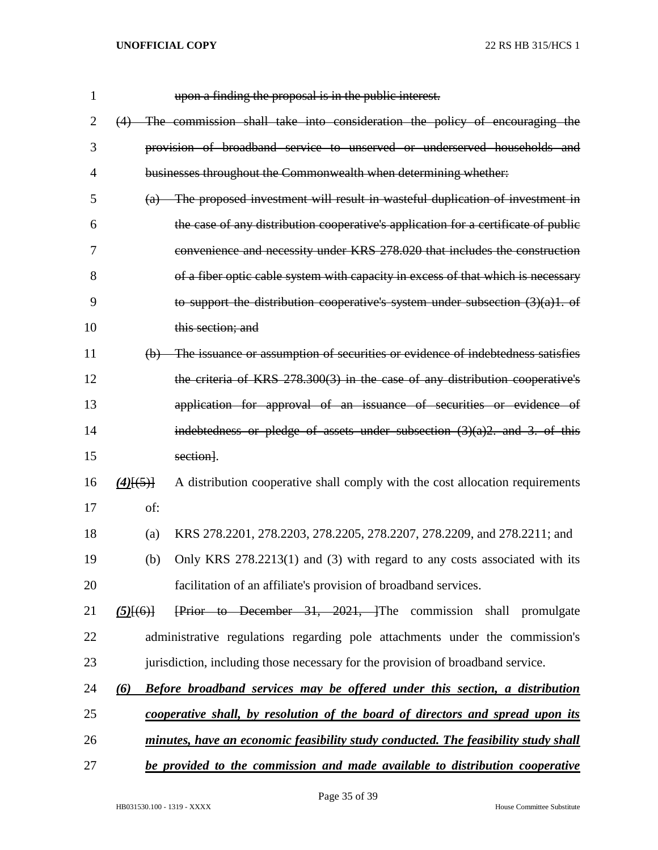| 1              | upon a finding the proposal is in the public interest.                                       |
|----------------|----------------------------------------------------------------------------------------------|
| $\overline{2}$ | (4) The commission shall take into consideration the policy of encouraging the               |
| 3              | provision of broadband service to unserved or underserved households and                     |
| $\overline{4}$ | businesses throughout the Commonwealth when determining whether:                             |
| 5              | (a) The proposed investment will result in wasteful duplication of investment in             |
| 6              | the case of any distribution cooperative's application for a certificate of public           |
| 7              | convenience and necessity under KRS 278.020 that includes the construction                   |
| 8              | of a fiber optic cable system with capacity in excess of that which is necessary             |
| 9              | to support the distribution cooperative's system under subsection $(3)(a)1$ . of             |
| 10             | this section; and                                                                            |
| 11             | (b) The issuance or assumption of securities or evidence of indebtedness satisfies           |
| 12             | the criteria of KRS 278.300(3) in the case of any distribution cooperative's                 |
| 13             | application for approval of an issuance of securities or evidence of                         |
| 14             | indebtedness or pledge of assets under subsection $(3)(a)2$ , and 3, of this                 |
| 15             | section].                                                                                    |
| 16             | A distribution cooperative shall comply with the cost allocation requirements<br>$(4)$ [(5)] |
| 17             | of:                                                                                          |
| 18             | KRS 278.2201, 278.2203, 278.2205, 278.2207, 278.2209, and 278.2211; and<br>(a)               |
| 19             | Only KRS 278.2213(1) and (3) with regard to any costs associated with its<br>(b)             |
| 20             | facilitation of an affiliate's provision of broadband services.                              |
| 21             | Frior to December 31, 2021, The commission shall promulgate<br>$(5)$ [ $(6)$ ]               |
| 22             | administrative regulations regarding pole attachments under the commission's                 |
| 23             | jurisdiction, including those necessary for the provision of broadband service.              |
| 24             | Before broadband services may be offered under this section, a distribution<br>$\omega$      |
| 25             | cooperative shall, by resolution of the board of directors and spread upon its               |
| 26             | minutes, have an economic feasibility study conducted. The feasibility study shall           |
| 27             | be provided to the commission and made available to distribution cooperative                 |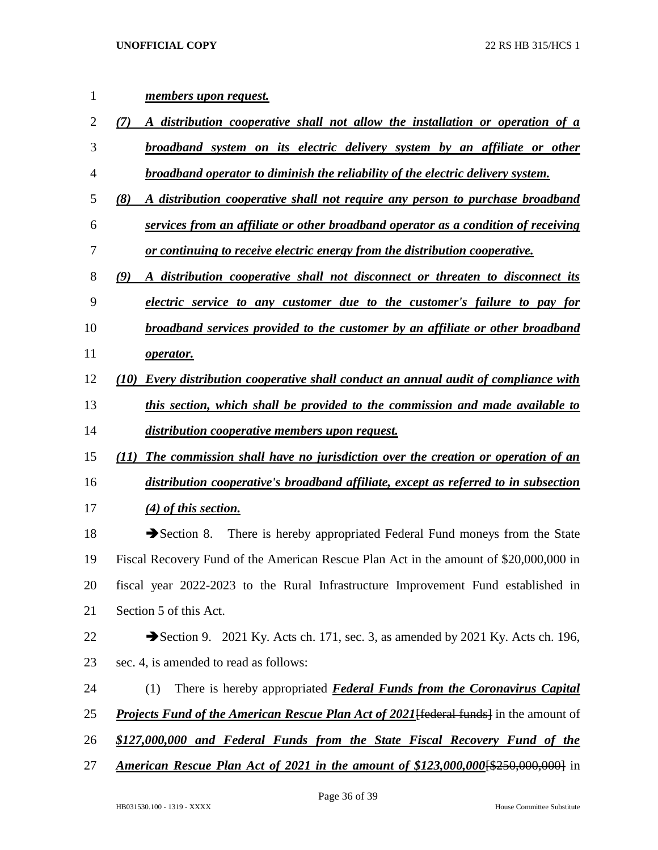| 1  | members upon request.                                                                               |
|----|-----------------------------------------------------------------------------------------------------|
| 2  | A distribution cooperative shall not allow the installation or operation of a<br>(7)                |
| 3  | broadband system on its electric delivery system by an affiliate or other                           |
| 4  | broadband operator to diminish the reliability of the electric delivery system.                     |
| 5  | (8)<br>A distribution cooperative shall not require any person to purchase broadband                |
| 6  | services from an affiliate or other broadband operator as a condition of receiving                  |
| 7  | or continuing to receive electric energy from the distribution cooperative.                         |
| 8  | (9)<br>A distribution cooperative shall not disconnect or threaten to disconnect its                |
| 9  | electric service to any customer due to the customer's failure to pay for                           |
| 10 | broadband services provided to the customer by an affiliate or other broadband                      |
| 11 | operator.                                                                                           |
| 12 | Every distribution cooperative shall conduct an annual audit of compliance with<br>(10)             |
| 13 | this section, which shall be provided to the commission and made available to                       |
| 14 | distribution cooperative members upon request.                                                      |
| 15 | <b>The commission shall have no jurisdiction over the creation or operation of an</b><br>(11)       |
| 16 | distribution cooperative's broadband affiliate, except as referred to in subsection                 |
| 17 | $(4)$ of this section.                                                                              |
| 18 | There is hereby appropriated Federal Fund moneys from the State<br>$\blacktriangleright$ Section 8. |
| 19 | Fiscal Recovery Fund of the American Rescue Plan Act in the amount of \$20,000,000 in               |
| 20 | fiscal year 2022-2023 to the Rural Infrastructure Improvement Fund established in                   |
| 21 | Section 5 of this Act.                                                                              |
| 22 | Section 9. 2021 Ky. Acts ch. 171, sec. 3, as amended by 2021 Ky. Acts ch. 196,                      |
| 23 | sec. 4, is amended to read as follows:                                                              |
| 24 | (1)<br>There is hereby appropriated <b>Federal Funds from the Coronavirus Capital</b>               |
| 25 | <b>Projects Fund of the American Rescue Plan Act of 2021</b> [federal funds] in the amount of       |
| 26 | \$127,000,000 and Federal Funds from the State Fiscal Recovery Fund of the                          |
| 27 | <b>American Rescue Plan Act of 2021 in the amount of \$123,000,000 \{\times\$250,000,000</b> } in   |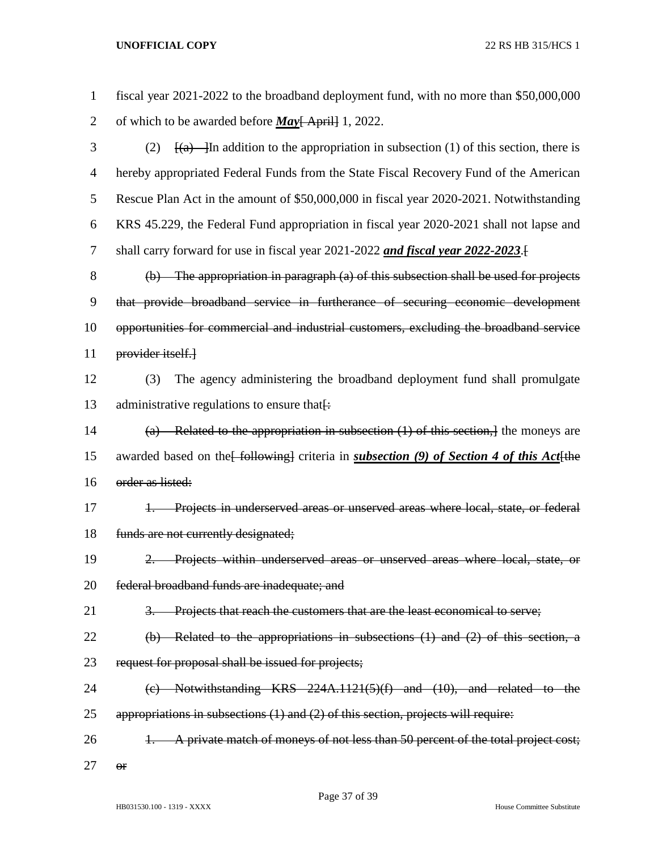| $\mathbf{1}$   | fiscal year 2021-2022 to the broadband deployment fund, with no more than \$50,000,000                  |  |  |
|----------------|---------------------------------------------------------------------------------------------------------|--|--|
| $\overline{2}$ | of which to be awarded before $\underline{May}$ [ April] 1, 2022.                                       |  |  |
| 3              | $\frac{f(a)}{g(a)}$ In addition to the appropriation in subsection (1) of this section, there is<br>(2) |  |  |
| 4              | hereby appropriated Federal Funds from the State Fiscal Recovery Fund of the American                   |  |  |
| 5              | Rescue Plan Act in the amount of \$50,000,000 in fiscal year 2020-2021. Notwithstanding                 |  |  |
| 6              | KRS 45.229, the Federal Fund appropriation in fiscal year 2020-2021 shall not lapse and                 |  |  |
| $\tau$         | shall carry forward for use in fiscal year 2021-2022 and fiscal year 2022-2023.                         |  |  |
| 8              | $(b)$ The appropriation in paragraph (a) of this subsection shall be used for projects                  |  |  |
| 9              | that provide broadband service in furtherance of securing economic development                          |  |  |
| 10             | opportunities for commercial and industrial customers, excluding the broadband service                  |  |  |
| 11             | provider itself.                                                                                        |  |  |
| 12             | The agency administering the broadband deployment fund shall promulgate<br>(3)                          |  |  |
| 13             | administrative regulations to ensure that.                                                              |  |  |
| 14             | (a) Related to the appropriation in subsection $(1)$ of this section, the moneys are                    |  |  |
| 15             | awarded based on the [following] criteria in <i>subsection</i> (9) of Section 4 of this Act [the        |  |  |
| 16             | order as listed:                                                                                        |  |  |
| 17             | Projects in underserved areas or unserved areas where local, state, or federal<br>$+$                   |  |  |
| 18             | funds are not currently designated;                                                                     |  |  |
| 19             | Projects within underserved areas or unserved areas where local, state, or                              |  |  |
| 20             | federal broadband funds are inadequate; and                                                             |  |  |
| 21             | Projects that reach the customers that are the least economical to serve;<br><del>3.</del>              |  |  |
| 22             | $(b)$ Related to the appropriations in subsections $(1)$ and $(2)$ of this section, a                   |  |  |
| 23             | request for proposal shall be issued for projects;                                                      |  |  |
| 24             | $(e)$ Notwithstanding KRS 224A.1121(5)(f) and (10), and related to the                                  |  |  |
| 25             | appropriations in subsections $(1)$ and $(2)$ of this section, projects will require:                   |  |  |
| 26             | A private match of moneys of not less than 50 percent of the total project cost;                        |  |  |
| 27             | $\Theta$ f                                                                                              |  |  |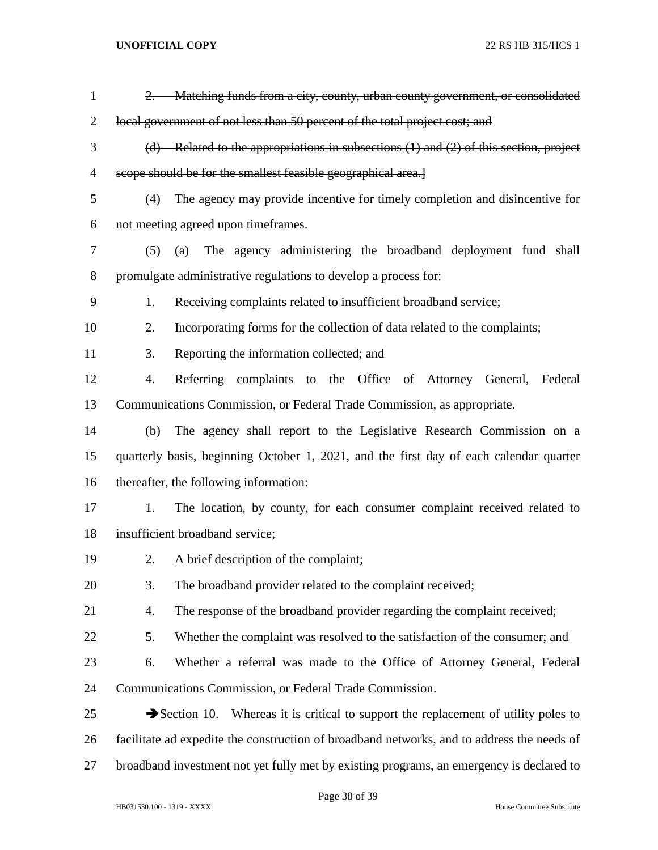| $\mathbf{1}$   |     | 2. Matching funds from a city, county, urban county government, or consolidated                         |
|----------------|-----|---------------------------------------------------------------------------------------------------------|
| $\overline{2}$ |     | local government of not less than 50 percent of the total project cost; and                             |
| 3              |     | $(d)$ Related to the appropriations in subsections $(1)$ and $(2)$ of this section, project             |
| 4              |     | scope should be for the smallest feasible geographical area.]                                           |
| 5              | (4) | The agency may provide incentive for timely completion and disincentive for                             |
| 6              |     | not meeting agreed upon timeframes.                                                                     |
| 7              |     | The agency administering the broadband deployment fund shall<br>$(5)$ $(a)$                             |
| 8              |     | promulgate administrative regulations to develop a process for:                                         |
| 9              | 1.  | Receiving complaints related to insufficient broadband service;                                         |
| 10             | 2.  | Incorporating forms for the collection of data related to the complaints;                               |
| 11             | 3.  | Reporting the information collected; and                                                                |
| 12             | 4.  | Referring complaints to the Office of Attorney General, Federal                                         |
| 13             |     | Communications Commission, or Federal Trade Commission, as appropriate.                                 |
| 14             | (b) | The agency shall report to the Legislative Research Commission on a                                     |
| 15             |     | quarterly basis, beginning October 1, 2021, and the first day of each calendar quarter                  |
| 16             |     | thereafter, the following information:                                                                  |
| 17             | 1.  | The location, by county, for each consumer complaint received related to                                |
| 18             |     | insufficient broadband service;                                                                         |
| 19             | 2.  | A brief description of the complaint;                                                                   |
| 20             | 3.  | The broadband provider related to the complaint received;                                               |
| 21             | 4.  | The response of the broadband provider regarding the complaint received;                                |
| 22             | 5.  | Whether the complaint was resolved to the satisfaction of the consumer; and                             |
| 23             | 6.  | Whether a referral was made to the Office of Attorney General, Federal                                  |
| 24             |     | Communications Commission, or Federal Trade Commission.                                                 |
| 25             |     | $\blacktriangleright$ Section 10. Whereas it is critical to support the replacement of utility poles to |
| 26             |     | facilitate ad expedite the construction of broadband networks, and to address the needs of              |
| 27             |     | broadband investment not yet fully met by existing programs, an emergency is declared to                |
|                |     |                                                                                                         |

Page 38 of 39